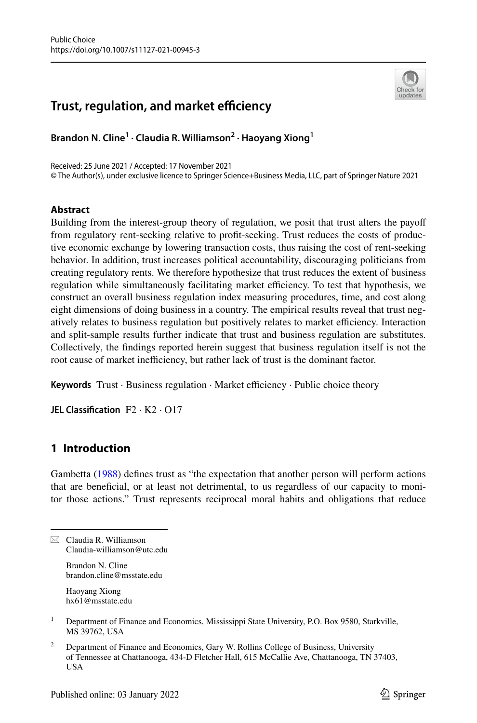# **Trust, regulation, and market efficiency**



**Brandon N. Cline1 · Claudia R. Williamson2 · Haoyang Xiong1**

Received: 25 June 2021 / Accepted: 17 November 2021 © The Author(s), under exclusive licence to Springer Science+Business Media, LLC, part of Springer Nature 2021

## **Abstract**

Building from the interest-group theory of regulation, we posit that trust alters the payof from regulatory rent-seeking relative to proft-seeking. Trust reduces the costs of productive economic exchange by lowering transaction costs, thus raising the cost of rent-seeking behavior. In addition, trust increases political accountability, discouraging politicians from creating regulatory rents. We therefore hypothesize that trust reduces the extent of business regulation while simultaneously facilitating market efficiency. To test that hypothesis, we construct an overall business regulation index measuring procedures, time, and cost along eight dimensions of doing business in a country. The empirical results reveal that trust negatively relates to business regulation but positively relates to market efficiency. Interaction and split-sample results further indicate that trust and business regulation are substitutes. Collectively, the fndings reported herein suggest that business regulation itself is not the root cause of market inefficiency, but rather lack of trust is the dominant factor.

**Keywords** Trust · Business regulation · Market efficiency · Public choice theory

**JEL Classifcation** F2 · K2 · O17

## **1 Introduction**

Gambetta ([1988\)](#page-28-0) defnes trust as "the expectation that another person will perform actions that are benefcial, or at least not detrimental, to us regardless of our capacity to monitor those actions." Trust represents reciprocal moral habits and obligations that reduce

 $\boxtimes$  Claudia R. Williamson Claudia-williamson@utc.edu

> Brandon N. Cline brandon.cline@msstate.edu

Haoyang Xiong hx61@msstate.edu

- <sup>1</sup> Department of Finance and Economics, Mississippi State University, P.O. Box 9580, Starkville, MS 39762, USA
- <sup>2</sup> Department of Finance and Economics, Gary W. Rollins College of Business, University of Tennessee at Chattanooga, 434-D Fletcher Hall, 615 McCallie Ave, Chattanooga, TN 37403, USA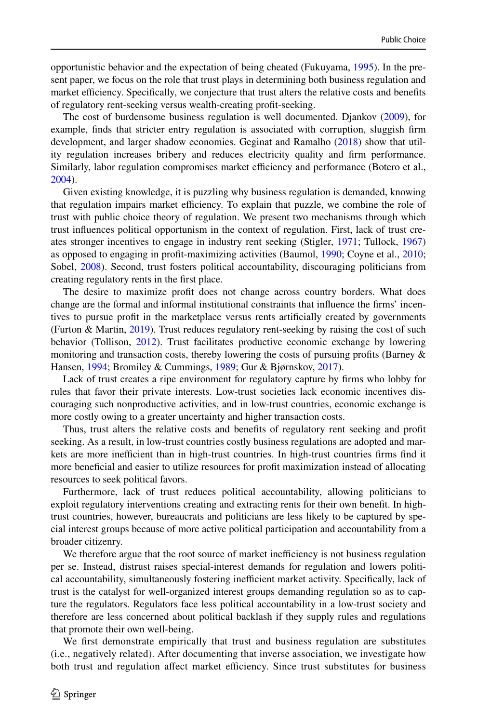opportunistic behavior and the expectation of being cheated (Fukuyama, [1995\)](#page-28-1). In the present paper, we focus on the role that trust plays in determining both business regulation and market efficiency. Specifically, we conjecture that trust alters the relative costs and benefits of regulatory rent-seeking versus wealth-creating proft-seeking.

The cost of burdensome business regulation is well documented. Djankov ([2009\)](#page-28-2), for example, fnds that stricter entry regulation is associated with corruption, sluggish frm development, and larger shadow economies. Geginat and Ramalho [\(2018](#page-28-3)) show that utility regulation increases bribery and reduces electricity quality and frm performance. Similarly, labor regulation compromises market efficiency and performance (Botero et al., [2004\)](#page-27-0).

Given existing knowledge, it is puzzling why business regulation is demanded, knowing that regulation impairs market efficiency. To explain that puzzle, we combine the role of trust with public choice theory of regulation. We present two mechanisms through which trust infuences political opportunism in the context of regulation. First, lack of trust creates stronger incentives to engage in industry rent seeking (Stigler, [1971;](#page-29-0) Tullock, [1967](#page-29-1)) as opposed to engaging in proft-maximizing activities (Baumol, [1990;](#page-27-1) Coyne et al., [2010;](#page-27-2) Sobel, [2008](#page-29-2)). Second, trust fosters political accountability, discouraging politicians from creating regulatory rents in the frst place.

The desire to maximize proft does not change across country borders. What does change are the formal and informal institutional constraints that infuence the frms' incentives to pursue proft in the marketplace versus rents artifcially created by governments (Furton & Martin, [2019](#page-28-4)). Trust reduces regulatory rent-seeking by raising the cost of such behavior (Tollison, [2012](#page-29-3)). Trust facilitates productive economic exchange by lowering monitoring and transaction costs, thereby lowering the costs of pursuing profits (Barney  $\&$ Hansen, [1994](#page-27-3); Bromiley & Cummings, [1989](#page-27-4); Gur & Bjørnskov, [2017\)](#page-28-5).

Lack of trust creates a ripe environment for regulatory capture by frms who lobby for rules that favor their private interests. Low-trust societies lack economic incentives discouraging such nonproductive activities, and in low-trust countries, economic exchange is more costly owing to a greater uncertainty and higher transaction costs.

Thus, trust alters the relative costs and benefts of regulatory rent seeking and proft seeking. As a result, in low-trust countries costly business regulations are adopted and markets are more inefficient than in high-trust countries. In high-trust countries firms find it more benefcial and easier to utilize resources for proft maximization instead of allocating resources to seek political favors.

Furthermore, lack of trust reduces political accountability, allowing politicians to exploit regulatory interventions creating and extracting rents for their own beneft. In hightrust countries, however, bureaucrats and politicians are less likely to be captured by special interest groups because of more active political participation and accountability from a broader citizenry.

We therefore argue that the root source of market inefficiency is not business regulation per se. Instead, distrust raises special-interest demands for regulation and lowers political accountability, simultaneously fostering inefficient market activity. Specifically, lack of trust is the catalyst for well-organized interest groups demanding regulation so as to capture the regulators. Regulators face less political accountability in a low-trust society and therefore are less concerned about political backlash if they supply rules and regulations that promote their own well-being.

We first demonstrate empirically that trust and business regulation are substitutes (i.e., negatively related). After documenting that inverse association, we investigate how both trust and regulation affect market efficiency. Since trust substitutes for business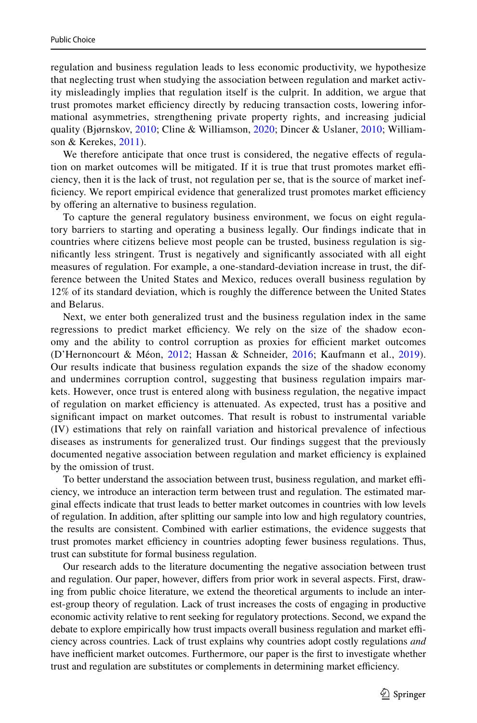regulation and business regulation leads to less economic productivity, we hypothesize that neglecting trust when studying the association between regulation and market activity misleadingly implies that regulation itself is the culprit. In addition, we argue that trust promotes market efficiency directly by reducing transaction costs, lowering informational asymmetries, strengthening private property rights, and increasing judicial quality (Bjørnskov, [2010](#page-27-5); Cline & Williamson, [2020](#page-27-6); Dincer & Uslaner, [2010](#page-27-7); Williamson & Kerekes, [2011](#page-29-4)).

We therefore anticipate that once trust is considered, the negative efects of regulation on market outcomes will be mitigated. If it is true that trust promotes market efficiency, then it is the lack of trust, not regulation per se, that is the source of market inefficiency. We report empirical evidence that generalized trust promotes market efficiency by offering an alternative to business regulation.

To capture the general regulatory business environment, we focus on eight regulatory barriers to starting and operating a business legally. Our fndings indicate that in countries where citizens believe most people can be trusted, business regulation is signifcantly less stringent. Trust is negatively and signifcantly associated with all eight measures of regulation. For example, a one-standard-deviation increase in trust, the difference between the United States and Mexico, reduces overall business regulation by 12% of its standard deviation, which is roughly the diference between the United States and Belarus.

Next, we enter both generalized trust and the business regulation index in the same regressions to predict market efficiency. We rely on the size of the shadow economy and the ability to control corruption as proxies for efficient market outcomes (D'Hernoncourt & Méon, [2012](#page-28-6); Hassan & Schneider, [2016;](#page-28-7) Kaufmann et al., [2019\)](#page-28-8). Our results indicate that business regulation expands the size of the shadow economy and undermines corruption control, suggesting that business regulation impairs markets. However, once trust is entered along with business regulation, the negative impact of regulation on market efficiency is attenuated. As expected, trust has a positive and signifcant impact on market outcomes. That result is robust to instrumental variable (IV) estimations that rely on rainfall variation and historical prevalence of infectious diseases as instruments for generalized trust. Our fndings suggest that the previously documented negative association between regulation and market efficiency is explained by the omission of trust.

To better understand the association between trust, business regulation, and market efficiency, we introduce an interaction term between trust and regulation. The estimated marginal efects indicate that trust leads to better market outcomes in countries with low levels of regulation. In addition, after splitting our sample into low and high regulatory countries, the results are consistent. Combined with earlier estimations, the evidence suggests that trust promotes market efficiency in countries adopting fewer business regulations. Thus, trust can substitute for formal business regulation.

Our research adds to the literature documenting the negative association between trust and regulation. Our paper, however, difers from prior work in several aspects. First, drawing from public choice literature, we extend the theoretical arguments to include an interest-group theory of regulation. Lack of trust increases the costs of engaging in productive economic activity relative to rent seeking for regulatory protections. Second, we expand the debate to explore empirically how trust impacts overall business regulation and market efficiency across countries. Lack of trust explains why countries adopt costly regulations *and* have inefficient market outcomes. Furthermore, our paper is the first to investigate whether trust and regulation are substitutes or complements in determining market efficiency.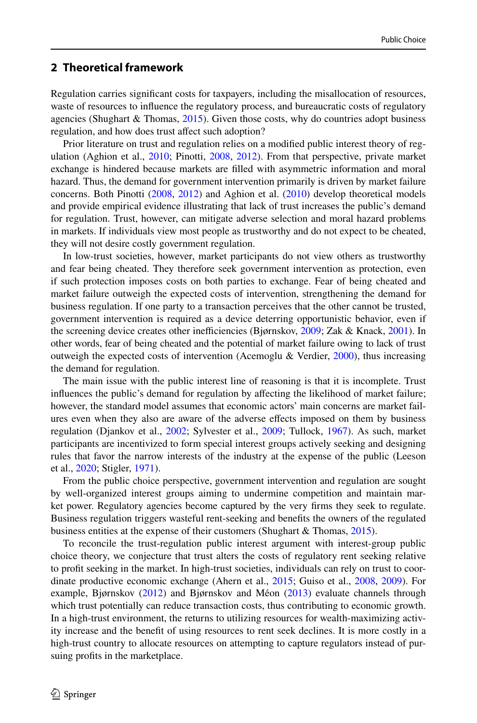## **2 Theoretical framework**

Regulation carries signifcant costs for taxpayers, including the misallocation of resources, waste of resources to infuence the regulatory process, and bureaucratic costs of regulatory agencies (Shughart & Thomas, [2015](#page-29-5)). Given those costs, why do countries adopt business regulation, and how does trust affect such adoption?

Prior literature on trust and regulation relies on a modifed public interest theory of regulation (Aghion et al., [2010;](#page-27-8) Pinotti, [2008](#page-29-6), [2012](#page-29-7)). From that perspective, private market exchange is hindered because markets are flled with asymmetric information and moral hazard. Thus, the demand for government intervention primarily is driven by market failure concerns. Both Pinotti ([2008,](#page-29-6) [2012](#page-29-7)) and Aghion et al. ([2010\)](#page-27-8) develop theoretical models and provide empirical evidence illustrating that lack of trust increases the public's demand for regulation. Trust, however, can mitigate adverse selection and moral hazard problems in markets. If individuals view most people as trustworthy and do not expect to be cheated, they will not desire costly government regulation.

In low-trust societies, however, market participants do not view others as trustworthy and fear being cheated. They therefore seek government intervention as protection, even if such protection imposes costs on both parties to exchange. Fear of being cheated and market failure outweigh the expected costs of intervention, strengthening the demand for business regulation. If one party to a transaction perceives that the other cannot be trusted, government intervention is required as a device deterring opportunistic behavior, even if the screening device creates other inefficiencies (Bjørnskov, [2009](#page-27-9); Zak & Knack, [2001\)](#page-29-8). In other words, fear of being cheated and the potential of market failure owing to lack of trust outweigh the expected costs of intervention (Acemoglu & Verdier, [2000](#page-27-10)), thus increasing the demand for regulation.

The main issue with the public interest line of reasoning is that it is incomplete. Trust infuences the public's demand for regulation by afecting the likelihood of market failure; however, the standard model assumes that economic actors' main concerns are market failures even when they also are aware of the adverse efects imposed on them by business regulation (Djankov et al., [2002;](#page-28-9) Sylvester et al., [2009](#page-29-9); Tullock, [1967](#page-29-1)). As such, market participants are incentivized to form special interest groups actively seeking and designing rules that favor the narrow interests of the industry at the expense of the public (Leeson et al., [2020;](#page-28-10) Stigler, [1971\)](#page-29-0).

From the public choice perspective, government intervention and regulation are sought by well-organized interest groups aiming to undermine competition and maintain market power. Regulatory agencies become captured by the very frms they seek to regulate. Business regulation triggers wasteful rent-seeking and benefts the owners of the regulated business entities at the expense of their customers (Shughart & Thomas, [2015](#page-29-5)).

To reconcile the trust-regulation public interest argument with interest-group public choice theory, we conjecture that trust alters the costs of regulatory rent seeking relative to proft seeking in the market. In high-trust societies, individuals can rely on trust to coordinate productive economic exchange (Ahern et al., [2015](#page-27-11); Guiso et al., [2008,](#page-28-11) [2009\)](#page-28-12). For example, Bjørnskov [\(2012](#page-27-12)) and Bjørnskov and Méon ([2013\)](#page-27-13) evaluate channels through which trust potentially can reduce transaction costs, thus contributing to economic growth. In a high-trust environment, the returns to utilizing resources for wealth-maximizing activity increase and the beneft of using resources to rent seek declines. It is more costly in a high-trust country to allocate resources on attempting to capture regulators instead of pursuing profts in the marketplace.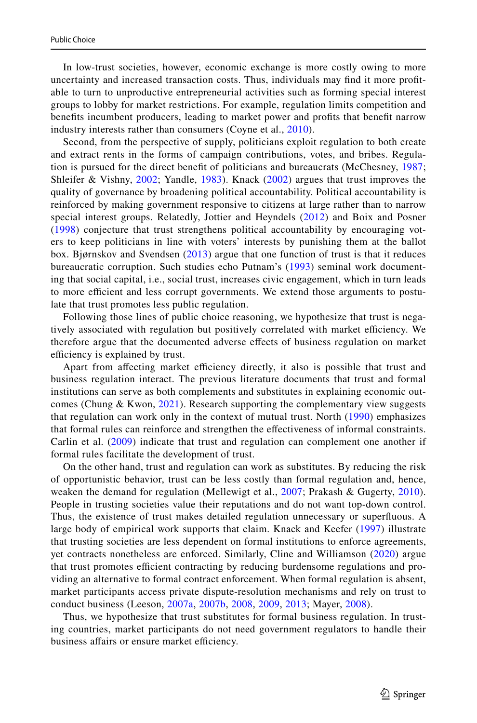In low-trust societies, however, economic exchange is more costly owing to more uncertainty and increased transaction costs. Thus, individuals may fnd it more proftable to turn to unproductive entrepreneurial activities such as forming special interest groups to lobby for market restrictions. For example, regulation limits competition and benefts incumbent producers, leading to market power and profts that beneft narrow industry interests rather than consumers (Coyne et al., [2010](#page-27-2)).

Second, from the perspective of supply, politicians exploit regulation to both create and extract rents in the forms of campaign contributions, votes, and bribes. Regulation is pursued for the direct beneft of politicians and bureaucrats (McChesney, [1987;](#page-28-13) Shleifer & Vishny, [2002](#page-29-10); Yandle, [1983\)](#page-29-11). Knack ([2002\)](#page-28-14) argues that trust improves the quality of governance by broadening political accountability. Political accountability is reinforced by making government responsive to citizens at large rather than to narrow special interest groups. Relatedly, Jottier and Heyndels ([2012](#page-28-15)) and Boix and Posner ([1998\)](#page-27-14) conjecture that trust strengthens political accountability by encouraging voters to keep politicians in line with voters' interests by punishing them at the ballot box. Bjørnskov and Svendsen ([2013\)](#page-27-15) argue that one function of trust is that it reduces bureaucratic corruption. Such studies echo Putnam's ([1993](#page-29-12)) seminal work documenting that social capital, i.e., social trust, increases civic engagement, which in turn leads to more efficient and less corrupt governments. We extend those arguments to postulate that trust promotes less public regulation.

Following those lines of public choice reasoning, we hypothesize that trust is negatively associated with regulation but positively correlated with market efficiency. We therefore argue that the documented adverse efects of business regulation on market efficiency is explained by trust.

Apart from affecting market efficiency directly, it also is possible that trust and business regulation interact. The previous literature documents that trust and formal institutions can serve as both complements and substitutes in explaining economic out-comes (Chung & Kwon, [2021\)](#page-27-16). Research supporting the complementary view suggests that regulation can work only in the context of mutual trust. North ([1990\)](#page-29-13) emphasizes that formal rules can reinforce and strengthen the efectiveness of informal constraints. Carlin et al. [\(2009](#page-27-17)) indicate that trust and regulation can complement one another if formal rules facilitate the development of trust.

On the other hand, trust and regulation can work as substitutes. By reducing the risk of opportunistic behavior, trust can be less costly than formal regulation and, hence, weaken the demand for regulation (Mellewigt et al., [2007;](#page-28-16) Prakash & Gugerty, [2010\)](#page-29-14). People in trusting societies value their reputations and do not want top-down control. Thus, the existence of trust makes detailed regulation unnecessary or superfuous. A large body of empirical work supports that claim. Knack and Keefer [\(1997](#page-28-17)) illustrate that trusting societies are less dependent on formal institutions to enforce agreements, yet contracts nonetheless are enforced. Similarly, Cline and Williamson [\(2020](#page-27-6)) argue that trust promotes efficient contracting by reducing burdensome regulations and providing an alternative to formal contract enforcement. When formal regulation is absent, market participants access private dispute-resolution mechanisms and rely on trust to conduct business (Leeson, [2007a](#page-28-18), [2007b](#page-28-19), [2008,](#page-28-20) [2009,](#page-28-21) [2013;](#page-28-22) Mayer, [2008](#page-28-23)).

Thus, we hypothesize that trust substitutes for formal business regulation. In trusting countries, market participants do not need government regulators to handle their business affairs or ensure market efficiency.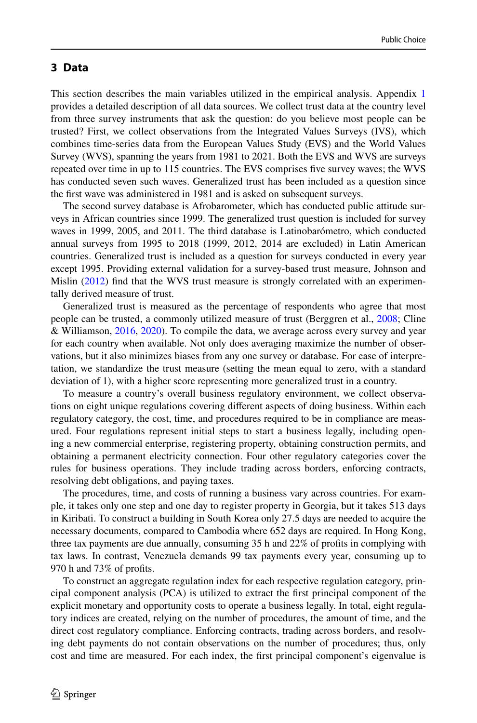### **3 Data**

This section describes the main variables utilized in the empirical analysis. Appendix [1](#page-20-0) provides a detailed description of all data sources. We collect trust data at the country level from three survey instruments that ask the question: do you believe most people can be trusted? First, we collect observations from the Integrated Values Surveys (IVS), which combines time-series data from the European Values Study (EVS) and the World Values Survey (WVS), spanning the years from 1981 to 2021. Both the EVS and WVS are surveys repeated over time in up to 115 countries. The EVS comprises fve survey waves; the WVS has conducted seven such waves. Generalized trust has been included as a question since the frst wave was administered in 1981 and is asked on subsequent surveys.

The second survey database is Afrobarometer, which has conducted public attitude surveys in African countries since 1999. The generalized trust question is included for survey waves in 1999, 2005, and 2011. The third database is Latinobarómetro, which conducted annual surveys from 1995 to 2018 (1999, 2012, 2014 are excluded) in Latin American countries. Generalized trust is included as a question for surveys conducted in every year except 1995. Providing external validation for a survey-based trust measure, Johnson and Mislin ([2012\)](#page-28-24) fnd that the WVS trust measure is strongly correlated with an experimentally derived measure of trust.

Generalized trust is measured as the percentage of respondents who agree that most people can be trusted, a commonly utilized measure of trust (Berggren et al., [2008](#page-27-18); Cline & Williamson, [2016,](#page-27-19) [2020\)](#page-27-6). To compile the data, we average across every survey and year for each country when available. Not only does averaging maximize the number of observations, but it also minimizes biases from any one survey or database. For ease of interpretation, we standardize the trust measure (setting the mean equal to zero, with a standard deviation of 1), with a higher score representing more generalized trust in a country.

To measure a country's overall business regulatory environment, we collect observations on eight unique regulations covering diferent aspects of doing business. Within each regulatory category, the cost, time, and procedures required to be in compliance are measured. Four regulations represent initial steps to start a business legally, including opening a new commercial enterprise, registering property, obtaining construction permits, and obtaining a permanent electricity connection. Four other regulatory categories cover the rules for business operations. They include trading across borders, enforcing contracts, resolving debt obligations, and paying taxes.

The procedures, time, and costs of running a business vary across countries. For example, it takes only one step and one day to register property in Georgia, but it takes 513 days in Kiribati. To construct a building in South Korea only 27.5 days are needed to acquire the necessary documents, compared to Cambodia where 652 days are required. In Hong Kong, three tax payments are due annually, consuming 35 h and 22% of profts in complying with tax laws. In contrast, Venezuela demands 99 tax payments every year, consuming up to 970 h and 73% of profts.

To construct an aggregate regulation index for each respective regulation category, principal component analysis (PCA) is utilized to extract the frst principal component of the explicit monetary and opportunity costs to operate a business legally. In total, eight regulatory indices are created, relying on the number of procedures, the amount of time, and the direct cost regulatory compliance. Enforcing contracts, trading across borders, and resolving debt payments do not contain observations on the number of procedures; thus, only cost and time are measured. For each index, the frst principal component's eigenvalue is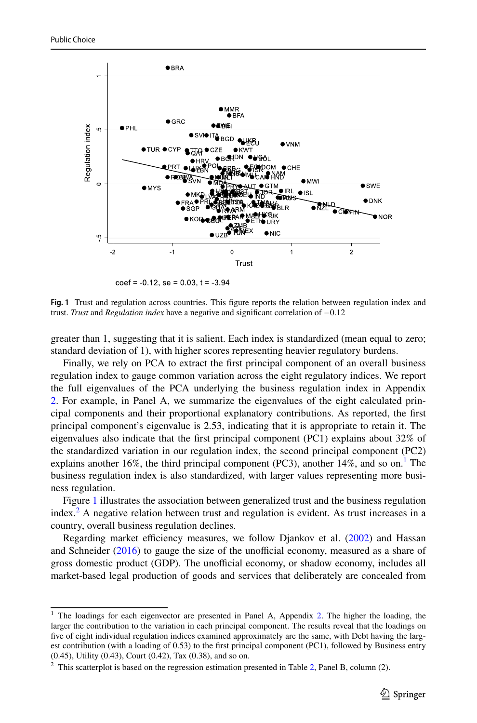

 $\text{coef} = -0.12$ . se = 0.03. t =  $-3.94$ 

<span id="page-6-1"></span>Fig. 1 Trust and regulation across countries. This figure reports the relation between regulation index and trust. *Trust* and *Regulation index* have a negative and signifcant correlation of −0.12

greater than 1, suggesting that it is salient. Each index is standardized (mean equal to zero; standard deviation of 1), with higher scores representing heavier regulatory burdens.

Finally, we rely on PCA to extract the frst principal component of an overall business regulation index to gauge common variation across the eight regulatory indices. We report the full eigenvalues of the PCA underlying the business regulation index in Appendix [2.](#page-24-0) For example, in Panel A, we summarize the eigenvalues of the eight calculated principal components and their proportional explanatory contributions. As reported, the frst principal component's eigenvalue is 2.53, indicating that it is appropriate to retain it. The eigenvalues also indicate that the frst principal component (PC1) explains about 32% of the standardized variation in our regulation index, the second principal component (PC2) explains another [1](#page-6-0)6%, the third principal component (PC3), another 14%, and so on.<sup>1</sup> The business regulation index is also standardized, with larger values representing more business regulation.

Figure [1](#page-6-1) illustrates the association between generalized trust and the business regulation index.<sup>2</sup> A negative relation between trust and regulation is evident. As trust increases in a country, overall business regulation declines.

Regarding market efficiency measures, we follow Djankov et al. [\(2002](#page-28-9)) and Hassan and Schneider  $(2016)$  $(2016)$  to gauge the size of the unofficial economy, measured as a share of gross domestic product (GDP). The unofficial economy, or shadow economy, includes all market-based legal production of goods and services that deliberately are concealed from

<span id="page-6-0"></span><sup>&</sup>lt;sup>1</sup> The loadings for each eigenvector are presented in Panel A, Appendix [2](#page-24-0). The higher the loading, the larger the contribution to the variation in each principal component. The results reveal that the loadings on fve of eight individual regulation indices examined approximately are the same, with Debt having the largest contribution (with a loading of 0.53) to the frst principal component (PC1), followed by Business entry (0.45), Utility (0.43), Court (0.42), Tax (0.38), and so on.

<span id="page-6-2"></span> $2$  This scatterplot is based on the regression estimation presented in Table [2,](#page-10-0) Panel B, column (2).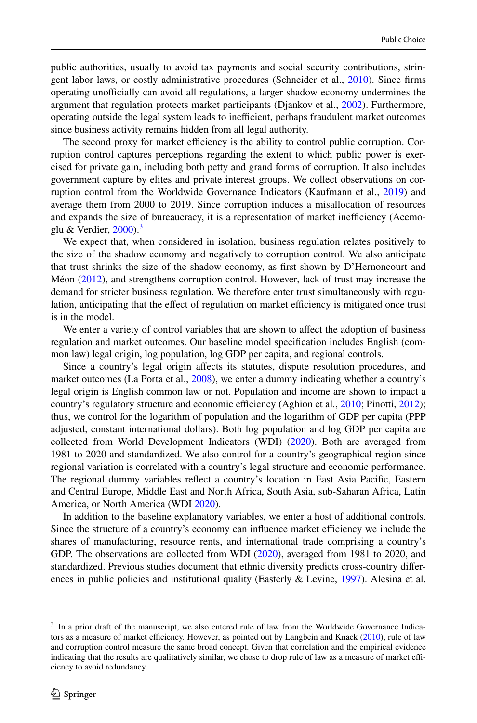public authorities, usually to avoid tax payments and social security contributions, stringent labor laws, or costly administrative procedures (Schneider et al., [2010\)](#page-29-15). Since frms operating unofficially can avoid all regulations, a larger shadow economy undermines the argument that regulation protects market participants (Djankov et al., [2002\)](#page-28-9). Furthermore, operating outside the legal system leads to inefficient, perhaps fraudulent market outcomes since business activity remains hidden from all legal authority.

The second proxy for market efficiency is the ability to control public corruption. Corruption control captures perceptions regarding the extent to which public power is exercised for private gain, including both petty and grand forms of corruption. It also includes government capture by elites and private interest groups. We collect observations on corruption control from the Worldwide Governance Indicators (Kaufmann et al., [2019](#page-28-8)) and average them from 2000 to 2019. Since corruption induces a misallocation of resources and expands the size of bureaucracy, it is a representation of market inefficiency (Acemoglu & Verdier,  $2000$ ).<sup>3</sup>

We expect that, when considered in isolation, business regulation relates positively to the size of the shadow economy and negatively to corruption control. We also anticipate that trust shrinks the size of the shadow economy, as frst shown by D'Hernoncourt and Méon ([2012\)](#page-28-6), and strengthens corruption control. However, lack of trust may increase the demand for stricter business regulation. We therefore enter trust simultaneously with regulation, anticipating that the effect of regulation on market efficiency is mitigated once trust is in the model.

We enter a variety of control variables that are shown to afect the adoption of business regulation and market outcomes. Our baseline model specifcation includes English (common law) legal origin, log population, log GDP per capita, and regional controls.

Since a country's legal origin afects its statutes, dispute resolution procedures, and market outcomes (La Porta et al., [2008](#page-28-25)), we enter a dummy indicating whether a country's legal origin is English common law or not. Population and income are shown to impact a country's regulatory structure and economic efficiency (Aghion et al., [2010;](#page-27-8) Pinotti, [2012\)](#page-29-7); thus, we control for the logarithm of population and the logarithm of GDP per capita (PPP adjusted, constant international dollars). Both log population and log GDP per capita are collected from World Development Indicators (WDI) ([2020\)](#page-29-16). Both are averaged from 1981 to 2020 and standardized. We also control for a country's geographical region since regional variation is correlated with a country's legal structure and economic performance. The regional dummy variables refect a country's location in East Asia Pacifc, Eastern and Central Europe, Middle East and North Africa, South Asia, sub-Saharan Africa, Latin America, or North America (WDI [2020](#page-29-16)).

In addition to the baseline explanatory variables, we enter a host of additional controls. Since the structure of a country's economy can influence market efficiency we include the shares of manufacturing, resource rents, and international trade comprising a country's GDP. The observations are collected from WDI [\(2020](#page-29-16)), averaged from 1981 to 2020, and standardized. Previous studies document that ethnic diversity predicts cross-country difer-ences in public policies and institutional quality (Easterly & Levine, [1997](#page-28-26)). Alesina et al.

<span id="page-7-0"></span><sup>&</sup>lt;sup>3</sup> In a prior draft of the manuscript, we also entered rule of law from the Worldwide Governance Indica-tors as a measure of market efficiency. However, as pointed out by Langbein and Knack ([2010\)](#page-28-27), rule of law and corruption control measure the same broad concept. Given that correlation and the empirical evidence indicating that the results are qualitatively similar, we chose to drop rule of law as a measure of market efficiency to avoid redundancy.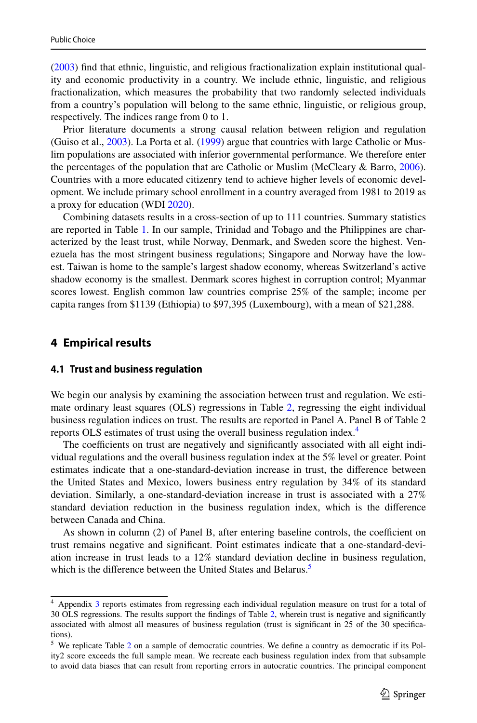([2003\)](#page-27-20) fnd that ethnic, linguistic, and religious fractionalization explain institutional quality and economic productivity in a country. We include ethnic, linguistic, and religious fractionalization, which measures the probability that two randomly selected individuals from a country's population will belong to the same ethnic, linguistic, or religious group, respectively. The indices range from 0 to 1.

Prior literature documents a strong causal relation between religion and regulation (Guiso et al., [2003](#page-28-28)). La Porta et al. ([1999\)](#page-28-29) argue that countries with large Catholic or Muslim populations are associated with inferior governmental performance. We therefore enter the percentages of the population that are Catholic or Muslim (McCleary & Barro, [2006](#page-28-30)). Countries with a more educated citizenry tend to achieve higher levels of economic development. We include primary school enrollment in a country averaged from 1981 to 2019 as a proxy for education (WDI [2020\)](#page-29-16).

Combining datasets results in a cross-section of up to 111 countries. Summary statistics are reported in Table [1](#page-9-0). In our sample, Trinidad and Tobago and the Philippines are characterized by the least trust, while Norway, Denmark, and Sweden score the highest. Venezuela has the most stringent business regulations; Singapore and Norway have the lowest. Taiwan is home to the sample's largest shadow economy, whereas Switzerland's active shadow economy is the smallest. Denmark scores highest in corruption control; Myanmar scores lowest. English common law countries comprise 25% of the sample; income per capita ranges from \$1139 (Ethiopia) to \$97,395 (Luxembourg), with a mean of \$21,288.

#### **4 Empirical results**

#### **4.1 Trust and business regulation**

We begin our analysis by examining the association between trust and regulation. We estimate ordinary least squares (OLS) regressions in Table [2](#page-10-0), regressing the eight individual business regulation indices on trust. The results are reported in Panel A. Panel B of Table 2 reports OLS estimates of trust using the overall business regulation index.<sup>4</sup>

The coefficients on trust are negatively and significantly associated with all eight individual regulations and the overall business regulation index at the 5% level or greater. Point estimates indicate that a one-standard-deviation increase in trust, the diference between the United States and Mexico, lowers business entry regulation by 34% of its standard deviation. Similarly, a one-standard-deviation increase in trust is associated with a 27% standard deviation reduction in the business regulation index, which is the diference between Canada and China.

As shown in column (2) of Panel B, after entering baseline controls, the coefficient on trust remains negative and signifcant. Point estimates indicate that a one-standard-deviation increase in trust leads to a 12% standard deviation decline in business regulation, which is the difference between the United States and Belarus.<sup>[5](#page-8-1)</sup>

<span id="page-8-0"></span><sup>4</sup> Appendix [3](#page-24-1) reports estimates from regressing each individual regulation measure on trust for a total of 30 OLS regressions. The results support the fndings of Table [2](#page-10-0), wherein trust is negative and signifcantly associated with almost all measures of business regulation (trust is signifcant in 25 of the 30 specifcations).

<span id="page-8-1"></span><sup>5</sup> We replicate Table [2](#page-10-0) on a sample of democratic countries. We defne a country as democratic if its Polity2 score exceeds the full sample mean. We recreate each business regulation index from that subsample to avoid data biases that can result from reporting errors in autocratic countries. The principal component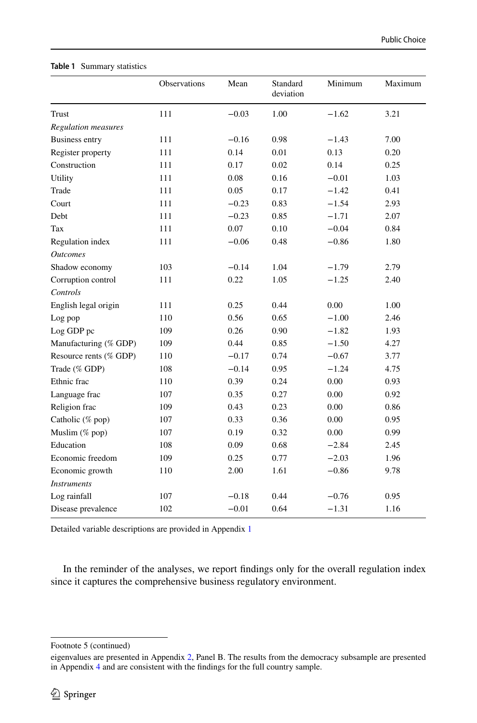|                            | <b>Observations</b> | Mean    | Standard<br>deviation | Minimum | Maximum |
|----------------------------|---------------------|---------|-----------------------|---------|---------|
| Trust                      | 111                 | $-0.03$ | 1.00                  | $-1.62$ | 3.21    |
| <b>Regulation</b> measures |                     |         |                       |         |         |
| <b>Business entry</b>      | 111                 | $-0.16$ | 0.98                  | $-1.43$ | 7.00    |
| Register property          | 111                 | 0.14    | 0.01                  | 0.13    | 0.20    |
| Construction               | 111                 | 0.17    | 0.02                  | 0.14    | 0.25    |
| Utility                    | 111                 | 0.08    | 0.16                  | $-0.01$ | 1.03    |
| Trade                      | 111                 | 0.05    | 0.17                  | $-1.42$ | 0.41    |
| Court                      | 111                 | $-0.23$ | 0.83                  | $-1.54$ | 2.93    |
| Debt                       | 111                 | $-0.23$ | 0.85                  | $-1.71$ | 2.07    |
| Tax                        | 111                 | 0.07    | 0.10                  | $-0.04$ | 0.84    |
| Regulation index           | 111                 | $-0.06$ | 0.48                  | $-0.86$ | 1.80    |
| <b>Outcomes</b>            |                     |         |                       |         |         |
| Shadow economy             | 103                 | $-0.14$ | 1.04                  | $-1.79$ | 2.79    |
| Corruption control         | 111                 | 0.22    | 1.05                  | $-1.25$ | 2.40    |
| Controls                   |                     |         |                       |         |         |
| English legal origin       | 111                 | 0.25    | 0.44                  | 0.00    | 1.00    |
| Log pop                    | 110                 | 0.56    | 0.65                  | $-1.00$ | 2.46    |
| Log GDP pc                 | 109                 | 0.26    | 0.90                  | $-1.82$ | 1.93    |
| Manufacturing (% GDP)      | 109                 | 0.44    | 0.85                  | $-1.50$ | 4.27    |
| Resource rents (% GDP)     | 110                 | $-0.17$ | 0.74                  | $-0.67$ | 3.77    |
| Trade (% GDP)              | 108                 | $-0.14$ | 0.95                  | $-1.24$ | 4.75    |
| Ethnic frac                | 110                 | 0.39    | 0.24                  | 0.00    | 0.93    |
| Language frac              | 107                 | 0.35    | 0.27                  | 0.00    | 0.92    |
| Religion frac              | 109                 | 0.43    | 0.23                  | 0.00    | 0.86    |
| Catholic (% pop)           | 107                 | 0.33    | 0.36                  | 0.00    | 0.95    |
| Muslim $(\%$ pop)          | 107                 | 0.19    | 0.32                  | 0.00    | 0.99    |
| Education                  | 108                 | 0.09    | 0.68                  | $-2.84$ | 2.45    |
| Economic freedom           | 109                 | 0.25    | 0.77                  | $-2.03$ | 1.96    |
| Economic growth            | 110                 | 2.00    | 1.61                  | $-0.86$ | 9.78    |
| <i>Instruments</i>         |                     |         |                       |         |         |
| Log rainfall               | 107                 | $-0.18$ | 0.44                  | $-0.76$ | 0.95    |
| Disease prevalence         | 102                 | $-0.01$ | 0.64                  | $-1.31$ | 1.16    |

#### <span id="page-9-0"></span>**Table 1** Summary statistics

Detailed variable descriptions are provided in Appendix [1](#page-20-0)

In the reminder of the analyses, we report fndings only for the overall regulation index since it captures the comprehensive business regulatory environment.

Footnote 5 (continued)

eigenvalues are presented in Appendix [2,](#page-24-0) Panel B. The results from the democracy subsample are presented in Appendix [4](#page-24-2) and are consistent with the fndings for the full country sample.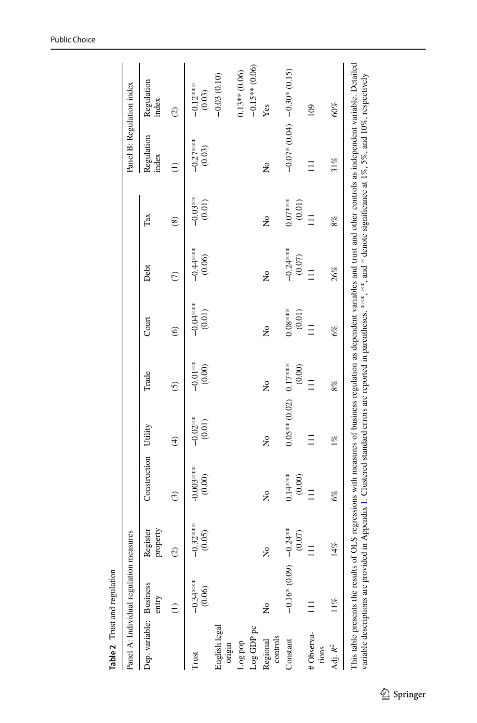<span id="page-10-0"></span>

|                         | Panel A: Individual regulation measures |                      |                       |                          |                           |                       |                        |                     | Panel B: Regulation index |                            |
|-------------------------|-----------------------------------------|----------------------|-----------------------|--------------------------|---------------------------|-----------------------|------------------------|---------------------|---------------------------|----------------------------|
| Dep. variable: Business | entry                                   | property<br>Register | Construction          | Utility                  | Trade                     | Court                 | Debt                   | Tax                 | Regulation<br>index       | Regulation<br>index        |
|                         |                                         | $\odot$              | $\widehat{c}$         | $\widehat{\mathfrak{t}}$ | $\odot$                   | $\circledcirc$        | $\epsilon$             | $\circledS$         | Ξ                         | $\odot$                    |
| Trust                   | $-0.34***$<br>(0.06)                    | $-0.32***$<br>(0.05) | $-0.003***$<br>(0.00) | $-0.02**$<br>(0.01)      | $-0.01**$<br>$(0.00)$     | $-0.01**$<br>$(0.01)$ | $-0.44***$<br>(0.06)   | $-0.03**$<br>(0.01) | $-0.27***$<br>(0.03)      | $-0.12***$<br>(0.03)       |
| English legal<br>origin |                                         |                      |                       |                          |                           |                       |                        |                     |                           | $-0.03(0.10)$              |
| Log pop                 |                                         |                      |                       |                          |                           |                       |                        |                     |                           | $0.13**$ (0.06)            |
| Log GDP pc              |                                         |                      |                       |                          |                           |                       |                        |                     |                           | $-0.15**$ (0.06)           |
| controls<br>Regional    | ż                                       | ž                    | Ş                     | Ş                        | $\mathsf{S}^{\mathsf{O}}$ | ż                     | ž                      | Ş                   | ż                         | Yes                        |
| Constant                | $-0.600$ $\frac{60}{101}$               | $0.24***$<br>(0.07)  | $0.14***$<br>(0.00)   | $0.05**$ (0.02)          | $0.17***$<br>(0.00)       | $0.08***$<br>(0.01)   | $-0.24***$<br>$(0.07)$ | $0.07***$<br>(0.01) |                           | $-0.07*0.04$ $-0.30*0.015$ |
| #Observa-<br>tions      |                                         |                      |                       | Ξ                        |                           |                       |                        | $\equiv$            |                           | $\overline{0}$             |
| Adj. R <sup>2</sup>     | $11\%$                                  | 14%                  | 6%                    | $1\%$                    | 8%                        | 6%                    | 26%                    | 8%                  | 31%                       | 60%                        |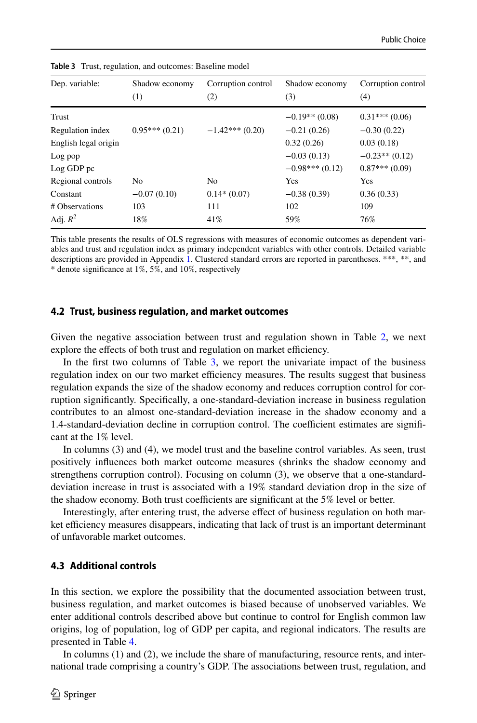| Dep. variable:       | Shadow economy  | Corruption control | Shadow economy   | Corruption control |
|----------------------|-----------------|--------------------|------------------|--------------------|
|                      | (1)             | (2)                | (3)              | (4)                |
| Trust                |                 |                    | $-0.19**$ (0.08) | $0.31***(0.06)$    |
| Regulation index     | $0.95***(0.21)$ | $-1.42***(0.20)$   | $-0.21(0.26)$    | $-0.30(0.22)$      |
| English legal origin |                 |                    | 0.32(0.26)       | 0.03(0.18)         |
| Log pop              |                 |                    | $-0.03(0.13)$    | $-0.23**$ (0.12)   |
| Log GDP pc           |                 |                    | $-0.98***(0.12)$ | $0.87***(0.09)$    |
| Regional controls    | N <sub>0</sub>  | N <sub>o</sub>     | Yes              | Yes                |
| Constant             | $-0.07(0.10)$   | $0.14*(0.07)$      | $-0.38(0.39)$    | 0.36(0.33)         |
| # Observations       | 103             | 111                | 102              | 109                |
| Adj. $R^2$           | 18%             | 41%                | 59%              | 76%                |

<span id="page-11-0"></span>**Table 3** Trust, regulation, and outcomes: Baseline model

This table presents the results of OLS regressions with measures of economic outcomes as dependent variables and trust and regulation index as primary independent variables with other controls. Detailed variable descriptions are provided in Appendix [1.](#page-20-0) Clustered standard errors are reported in parentheses. \*\*\*, \*\*, and \* denote signifcance at 1%, 5%, and 10%, respectively

#### **4.2 Trust, business regulation, and market outcomes**

Given the negative association between trust and regulation shown in Table [2,](#page-10-0) we next explore the effects of both trust and regulation on market efficiency.

In the first two columns of Table [3,](#page-11-0) we report the univariate impact of the business regulation index on our two market efficiency measures. The results suggest that business regulation expands the size of the shadow economy and reduces corruption control for corruption signifcantly. Specifcally, a one-standard-deviation increase in business regulation contributes to an almost one-standard-deviation increase in the shadow economy and a 1.4-standard-deviation decline in corruption control. The coefficient estimates are significant at the 1% level.

In columns (3) and (4), we model trust and the baseline control variables. As seen, trust positively infuences both market outcome measures (shrinks the shadow economy and strengthens corruption control). Focusing on column (3), we observe that a one-standarddeviation increase in trust is associated with a 19% standard deviation drop in the size of the shadow economy. Both trust coefficients are significant at the  $5\%$  level or better.

Interestingly, after entering trust, the adverse efect of business regulation on both market efficiency measures disappears, indicating that lack of trust is an important determinant of unfavorable market outcomes.

#### **4.3 Additional controls**

In this section, we explore the possibility that the documented association between trust, business regulation, and market outcomes is biased because of unobserved variables. We enter additional controls described above but continue to control for English common law origins, log of population, log of GDP per capita, and regional indicators. The results are presented in Table [4.](#page-12-0)

In columns (1) and (2), we include the share of manufacturing, resource rents, and international trade comprising a country's GDP. The associations between trust, regulation, and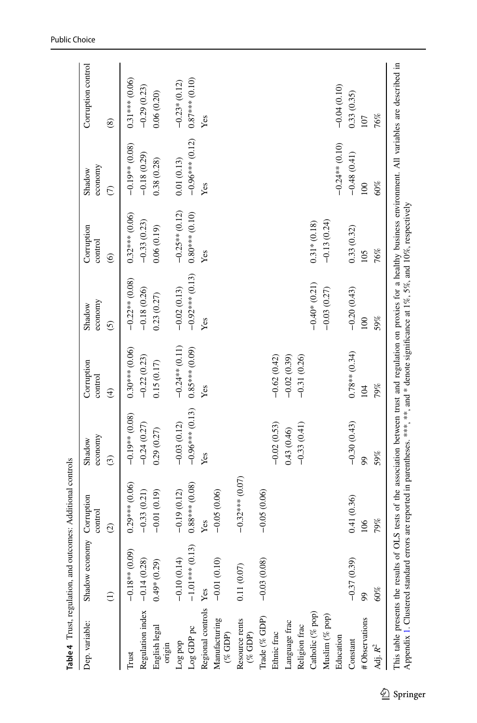<span id="page-12-0"></span>

| Dep. variable:                                                        | Shadow economy    |                       |                   |                         |                   |                       |                   |                    |
|-----------------------------------------------------------------------|-------------------|-----------------------|-------------------|-------------------------|-------------------|-----------------------|-------------------|--------------------|
|                                                                       |                   | Corruption<br>control | economy<br>Shadow | Corruption<br>control   | economy<br>Shadow | Corruption<br>control | economy<br>Shadow | Corruption control |
|                                                                       | $\widehat{c}$     | $\odot$               | $\widehat{c}$     | $\widehat{\mathcal{F}}$ | $\tilde{c}$       | $\odot$               | $\epsilon$        | $\circledast$      |
| Trust                                                                 | $-0.18**$ (0.09)  | $0.29***$ (0.06)      | $-0.19**$ (0.08)  | $0.30***$ (0.06)        | $-0.22**$ (0.08)  | $0.32***$ (0.06)      | $-0.19**$ (0.08)  | $0.31***$ (0.06)   |
| Regulation index $-0.14(0.28)$                                        |                   | $-0.33(0.21)$         | $-0.24(0.27)$     | $-0.22(0.23)$           | $-0.18(0.26)$     | $-0.33(0.23)$         | $-0.18(0.29)$     | $-0.29(0.23)$      |
| English legal<br>origin                                               | $0.49*(0.29)$     | $-0.01(0.19)$         | 0.29(0.27)        | 0.15(0.17)              | 0.23(0.27)        | 0.06(0.19)            | 0.38(0.28)        | 0.06(0.20)         |
| Log pop                                                               | $-0.10(0.14)$     | $-0.19(0.12)$         | $-0.03(0.12)$     | $-0.24**$ (0.11)        | $-0.02(0.13)$     | $-0.25**$ (0.12)      | 0.01(0.13)        | $-0.23*(0.12)$     |
| Log GDP pc                                                            | $-1.01***$ (0.13) | $0.88***$ (0.08)      | $-0.96***$ (0.13) | $0.85***$ (0.09)        | $-0.92***$ (0.13) | $0.80***$ (0.10)      | $-0.96***$ (0.12) | $0.87***$ (0.10)   |
| Regional controls Yes                                                 |                   | Yes                   | Yes               | Yes                     | Yes               | Yes                   | Yes               | Yes                |
| $\begin{array}{c} \text{Mandacuring} \\ (\% \text{ GDP}) \end{array}$ | $-0.01(0.10)$     | $-0.05(0.06)$         |                   |                         |                   |                       |                   |                    |
| Resource rents<br>$(\%$ GDP)                                          | $0.11\ (0.07)$    | $-0.32***$ (0.07)     |                   |                         |                   |                       |                   |                    |
| Trade (% GDP)                                                         | $-0.03(0.08)$     | $-0.05(0.06)$         |                   |                         |                   |                       |                   |                    |
| Ethnic frac                                                           |                   |                       | $-0.02(0.53)$     | $-0.62(0.42)$           |                   |                       |                   |                    |
| Language frac                                                         |                   |                       | 0.43(0.46)        | $-0.02(0.39)$           |                   |                       |                   |                    |
| Religion frac                                                         |                   |                       | $-0.33(0.41)$     | $-0.31(0.26)$           |                   |                       |                   |                    |
| Catholic (% pop)                                                      |                   |                       |                   |                         | $-0.40*$ (0.21)   | $0.31*(0.18)$         |                   |                    |
| Muslim (% pop)                                                        |                   |                       |                   |                         | $-0.03(0.27)$     | $-0.13(0.24)$         |                   |                    |
| Education                                                             |                   |                       |                   |                         |                   |                       | $-0.24**$ (0.10)  | $-0.04(0.10)$      |
| Constant                                                              | $-0.37(0.39)$     | 0.41(0.36)            | $-0.30(0.43)$     | $0.78**$ (0.34)         | $-0.20(0.43)$     | 0.33(0.32)            | $-0.48(0.41)$     | 0.33(0.35)         |
| 99<br># Observations                                                  |                   | 106                   | 99                | 104                     | $\overline{0}$    | 105                   | 100               | 107                |
| Adj. $\mathbb{R}^2$                                                   | $60\%$            | 79%                   | 59%               | 79%                     | 59%               | 76%                   | $60\%$            | 76%                |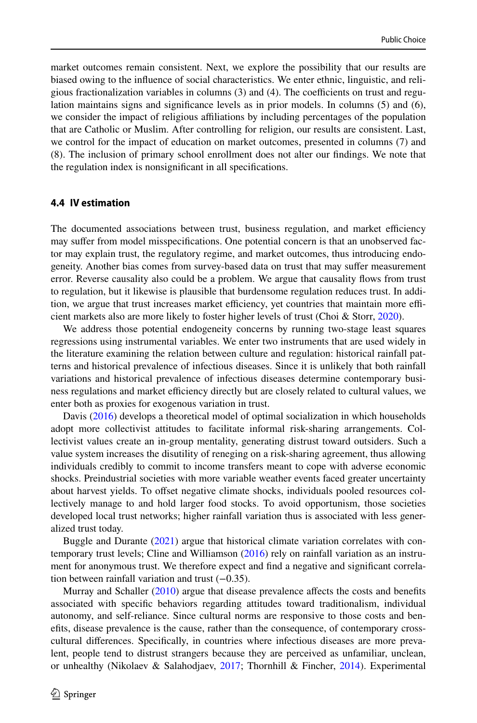market outcomes remain consistent. Next, we explore the possibility that our results are biased owing to the infuence of social characteristics. We enter ethnic, linguistic, and religious fractionalization variables in columns  $(3)$  and  $(4)$ . The coefficients on trust and regulation maintains signs and signifcance levels as in prior models. In columns (5) and (6), we consider the impact of religious afliations by including percentages of the population that are Catholic or Muslim. After controlling for religion, our results are consistent. Last, we control for the impact of education on market outcomes, presented in columns (7) and (8). The inclusion of primary school enrollment does not alter our fndings. We note that the regulation index is nonsignifcant in all specifcations.

#### **4.4 IV estimation**

The documented associations between trust, business regulation, and market efficiency may sufer from model misspecifcations. One potential concern is that an unobserved factor may explain trust, the regulatory regime, and market outcomes, thus introducing endogeneity. Another bias comes from survey-based data on trust that may sufer measurement error. Reverse causality also could be a problem. We argue that causality fows from trust to regulation, but it likewise is plausible that burdensome regulation reduces trust. In addition, we argue that trust increases market efficiency, yet countries that maintain more efficient markets also are more likely to foster higher levels of trust (Choi & Storr, [2020](#page-27-21)).

We address those potential endogeneity concerns by running two-stage least squares regressions using instrumental variables. We enter two instruments that are used widely in the literature examining the relation between culture and regulation: historical rainfall patterns and historical prevalence of infectious diseases. Since it is unlikely that both rainfall variations and historical prevalence of infectious diseases determine contemporary business regulations and market efficiency directly but are closely related to cultural values, we enter both as proxies for exogenous variation in trust.

Davis ([2016\)](#page-27-22) develops a theoretical model of optimal socialization in which households adopt more collectivist attitudes to facilitate informal risk-sharing arrangements. Collectivist values create an in-group mentality, generating distrust toward outsiders. Such a value system increases the disutility of reneging on a risk-sharing agreement, thus allowing individuals credibly to commit to income transfers meant to cope with adverse economic shocks. Preindustrial societies with more variable weather events faced greater uncertainty about harvest yields. To offset negative climate shocks, individuals pooled resources collectively manage to and hold larger food stocks. To avoid opportunism, those societies developed local trust networks; higher rainfall variation thus is associated with less generalized trust today.

Buggle and Durante [\(2021](#page-27-23)) argue that historical climate variation correlates with contemporary trust levels; Cline and Williamson [\(2016](#page-27-19)) rely on rainfall variation as an instrument for anonymous trust. We therefore expect and fnd a negative and signifcant correlation between rainfall variation and trust (−0.35).

Murray and Schaller ([2010\)](#page-29-17) argue that disease prevalence affects the costs and benefits associated with specifc behaviors regarding attitudes toward traditionalism, individual autonomy, and self-reliance. Since cultural norms are responsive to those costs and benefts, disease prevalence is the cause, rather than the consequence, of contemporary crosscultural diferences. Specifcally, in countries where infectious diseases are more prevalent, people tend to distrust strangers because they are perceived as unfamiliar, unclean, or unhealthy (Nikolaev & Salahodjaev, [2017;](#page-29-18) Thornhill & Fincher, [2014](#page-29-19)). Experimental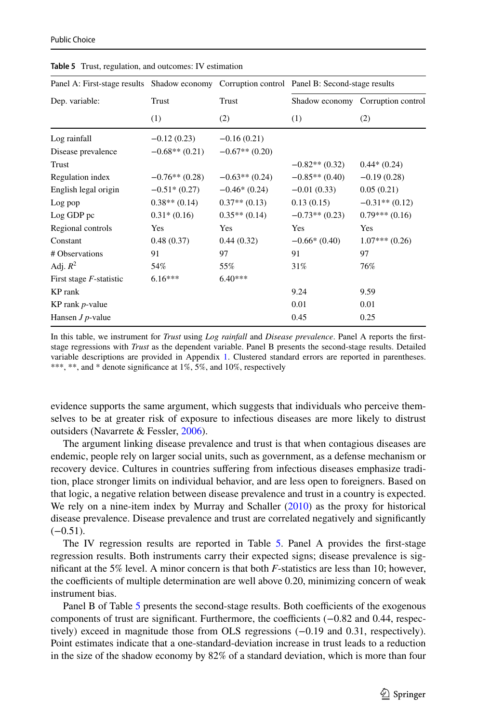| Panel A: First-stage results Shadow economy Corruption control Panel B: Second-stage results |                  |                  |                  |                                   |
|----------------------------------------------------------------------------------------------|------------------|------------------|------------------|-----------------------------------|
| Dep. variable:                                                                               | Trust            | Trust            |                  | Shadow economy Corruption control |
|                                                                                              | (1)              | (2)              | (1)              | (2)                               |
| Log rainfall                                                                                 | $-0.12(0.23)$    | $-0.16(0.21)$    |                  |                                   |
| Disease prevalence                                                                           | $-0.68**$ (0.21) | $-0.67**$ (0.20) |                  |                                   |
| Trust                                                                                        |                  |                  | $-0.82**$ (0.32) | $0.44*(0.24)$                     |
| Regulation index                                                                             | $-0.76**$ (0.28) | $-0.63**$ (0.24) | $-0.85**$ (0.40) | $-0.19(0.28)$                     |
| English legal origin                                                                         | $-0.51*(0.27)$   | $-0.46*(0.24)$   | $-0.01(0.33)$    | 0.05(0.21)                        |
| Log pop                                                                                      | $0.38**$ (0.14)  | $0.37**$ (0.13)  | 0.13(0.15)       | $-0.31**$ (0.12)                  |
| Log GDP pc                                                                                   | $0.31*(0.16)$    | $0.35**$ (0.14)  | $-0.73**$ (0.23) | $0.79***(0.16)$                   |
| Regional controls                                                                            | Yes              | Yes              | Yes              | Yes                               |
| Constant                                                                                     | 0.48(0.37)       | 0.44(0.32)       | $-0.66*(0.40)$   | $1.07***(0.26)$                   |
| # Observations                                                                               | 91               | 97               | 91               | 97                                |
| Adj. $R^2$                                                                                   | 54%              | 55%              | 31%              | 76%                               |
| First stage <i>F</i> -statistic                                                              | $6.16***$        | $6.40***$        |                  |                                   |
| KP rank                                                                                      |                  |                  | 9.24             | 9.59                              |
| KP rank $p$ -value                                                                           |                  |                  | 0.01             | 0.01                              |
| Hansen $J$ $p$ -value                                                                        |                  |                  | 0.45             | 0.25                              |

<span id="page-14-0"></span>**Table 5** Trust, regulation, and outcomes: IV estimation

In this table, we instrument for *Trust* using *Log rainfall* and *Disease prevalence*. Panel A reports the frststage regressions with *Trust* as the dependent variable. Panel B presents the second-stage results. Detailed variable descriptions are provided in Appendix [1.](#page-20-0) Clustered standard errors are reported in parentheses. \*\*\*, \*\*, and \* denote significance at 1%, 5%, and 10%, respectively

evidence supports the same argument, which suggests that individuals who perceive themselves to be at greater risk of exposure to infectious diseases are more likely to distrust outsiders (Navarrete & Fessler, [2006](#page-29-20)).

The argument linking disease prevalence and trust is that when contagious diseases are endemic, people rely on larger social units, such as government, as a defense mechanism or recovery device. Cultures in countries sufering from infectious diseases emphasize tradition, place stronger limits on individual behavior, and are less open to foreigners. Based on that logic, a negative relation between disease prevalence and trust in a country is expected. We rely on a nine-item index by Murray and Schaller [\(2010](#page-29-17)) as the proxy for historical disease prevalence. Disease prevalence and trust are correlated negatively and signifcantly  $(-0.51)$ .

The IV regression results are reported in Table [5.](#page-14-0) Panel A provides the frst-stage regression results. Both instruments carry their expected signs; disease prevalence is signifcant at the 5% level. A minor concern is that both *F*-statistics are less than 10; however, the coefficients of multiple determination are well above 0.20, minimizing concern of weak instrument bias.

Panel B of Table [5](#page-14-0) presents the second-stage results. Both coefficients of the exogenous components of trust are significant. Furthermore, the coefficients (−0.82 and 0.44, respectively) exceed in magnitude those from OLS regressions (−0.19 and 0.31, respectively). Point estimates indicate that a one-standard-deviation increase in trust leads to a reduction in the size of the shadow economy by 82% of a standard deviation, which is more than four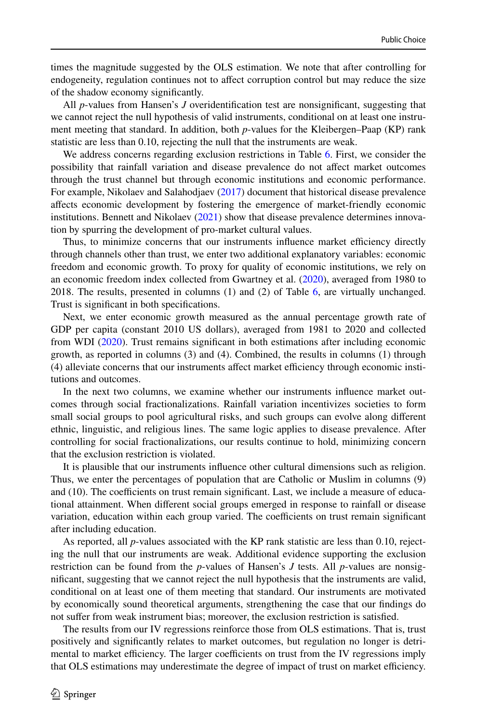times the magnitude suggested by the OLS estimation. We note that after controlling for endogeneity, regulation continues not to afect corruption control but may reduce the size of the shadow economy signifcantly.

All *p*-values from Hansen's *J* overidentifcation test are nonsignifcant, suggesting that we cannot reject the null hypothesis of valid instruments, conditional on at least one instrument meeting that standard. In addition, both *p*-values for the Kleibergen–Paap (KP) rank statistic are less than 0.10, rejecting the null that the instruments are weak.

We address concerns regarding exclusion restrictions in Table [6](#page-16-0). First, we consider the possibility that rainfall variation and disease prevalence do not afect market outcomes through the trust channel but through economic institutions and economic performance. For example, Nikolaev and Salahodjaev [\(2017](#page-29-18)) document that historical disease prevalence afects economic development by fostering the emergence of market-friendly economic institutions. Bennett and Nikolaev  $(2021)$  $(2021)$  show that disease prevalence determines innovation by spurring the development of pro-market cultural values.

Thus, to minimize concerns that our instruments influence market efficiency directly through channels other than trust, we enter two additional explanatory variables: economic freedom and economic growth. To proxy for quality of economic institutions, we rely on an economic freedom index collected from Gwartney et al. ([2020\)](#page-28-31), averaged from 1980 to 2018. The results, presented in columns (1) and (2) of Table [6](#page-16-0), are virtually unchanged. Trust is signifcant in both specifcations.

Next, we enter economic growth measured as the annual percentage growth rate of GDP per capita (constant 2010 US dollars), averaged from 1981 to 2020 and collected from WDI [\(2020](#page-29-16)). Trust remains significant in both estimations after including economic growth, as reported in columns (3) and (4). Combined, the results in columns (1) through (4) alleviate concerns that our instruments affect market efficiency through economic institutions and outcomes.

In the next two columns, we examine whether our instruments infuence market outcomes through social fractionalizations. Rainfall variation incentivizes societies to form small social groups to pool agricultural risks, and such groups can evolve along diferent ethnic, linguistic, and religious lines. The same logic applies to disease prevalence. After controlling for social fractionalizations, our results continue to hold, minimizing concern that the exclusion restriction is violated.

It is plausible that our instruments infuence other cultural dimensions such as religion. Thus, we enter the percentages of population that are Catholic or Muslim in columns (9) and (10). The coefficients on trust remain significant. Last, we include a measure of educational attainment. When diferent social groups emerged in response to rainfall or disease variation, education within each group varied. The coefficients on trust remain significant after including education.

As reported, all *p*-values associated with the KP rank statistic are less than 0.10, rejecting the null that our instruments are weak. Additional evidence supporting the exclusion restriction can be found from the *p*-values of Hansen's *J* tests. All *p*-values are nonsignifcant, suggesting that we cannot reject the null hypothesis that the instruments are valid, conditional on at least one of them meeting that standard. Our instruments are motivated by economically sound theoretical arguments, strengthening the case that our fndings do not sufer from weak instrument bias; moreover, the exclusion restriction is satisfed.

The results from our IV regressions reinforce those from OLS estimations. That is, trust positively and signifcantly relates to market outcomes, but regulation no longer is detrimental to market efficiency. The larger coefficients on trust from the IV regressions imply that OLS estimations may underestimate the degree of impact of trust on market efficiency.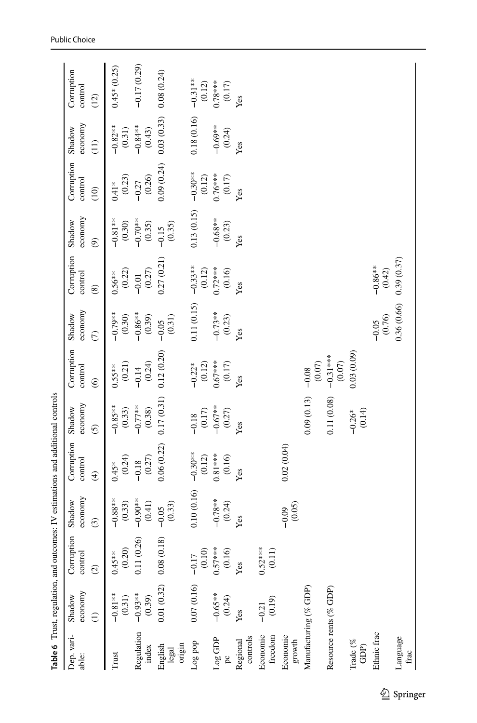<span id="page-16-0"></span>

|                                      | Table 6 Trust, regulation, and outcomes: IV estimations and additional controls |                                |                     |                         |                      |                                |                     |                       |                      |                       |                     |                       |
|--------------------------------------|---------------------------------------------------------------------------------|--------------------------------|---------------------|-------------------------|----------------------|--------------------------------|---------------------|-----------------------|----------------------|-----------------------|---------------------|-----------------------|
| Dep. vari-<br>able:                  | economy<br>Shadow                                                               | ion<br>Corrupt<br>control      | economy<br>Shadow   | Corruption<br>control   | economy<br>Shadow    | Corruption<br>control          | economy<br>Shadow   | Corruption<br>control | economy<br>Shadow    | Corruption<br>control | economy<br>Shadow   | Corruption<br>control |
|                                      |                                                                                 | $\odot$                        | $\odot$             | $\widehat{\mathcal{F}}$ | $\odot$              | $\widehat{\odot}$              | $\widehat{C}$       | $\circledast$         | $\circledcirc$       | (10)                  | $\left(11\right)$   | (12)                  |
| Trust                                | $-0.81***$<br>(0.31)                                                            | (0.20)<br>$0.45***$            | $-0.88**$<br>(0.33) | (0.24)<br>$0.45*$       | $-0.85***$<br>(0.33) | (0.21)<br>$0.55***$            | $-0.79**$<br>(0.30) | (0.22)<br>$0.56***$   | $-0.81***$<br>(0.30) | (0.23)<br>$0.41*$     | $-0.82**$<br>(0.31) | $0.45*(0.25)$         |
| Regulation<br>index                  | $-0.93**$<br>(0.39)                                                             | 0.11(0.26)                     | $-0.90**$<br>(0.41) | (0.27)<br>$-0.18$       | $-0.77**$<br>(0.38)  | (0.24)<br>$-0.14$              | $-0.86**$<br>(0.39) | (0.27)<br>$-0.01$     | $-0.70**$<br>(0.35)  | (0.26)<br>$-0.27$     | $-0.84**$<br>(0.43) | $-0.17(0.29)$         |
| origin<br>English<br>legal           | 0.01(0.32)                                                                      | 0.08(0.18)                     | (0.33)<br>$-0.05$   | 0.06(0.22)              | 0.17(0.31)           | 0.12(0.20)                     | (0.31)<br>$-0.05$   | 0.27(0.21)            | (0.35)<br>$-0.15$    | 0.09(0.24)            | 0.03(0.33)          | 0.08(0.24)            |
| Log pop                              | 0.07(0.16)                                                                      | $\left(0.10\right)$<br>$-0.17$ | 0.10(0.16)          | $-0.30**$<br>(0.12)     | (0.17)<br>$-0.18$    | $-0.22$ <sup>*</sup><br>(0.12) | 0.11(0.15)          | $-0.33***$<br>(0.12)  | 0.13(0.15)           | $-0.30**$<br>(0.12)   | 0.18(0.16)          | $-0.31**$<br>(0.12)   |
| $\log$ GDP<br>$\beta$                | $-0.65***$<br>(0.24)                                                            | $0.57***$<br>(0.16)            | $-0.78**$<br>(0.24) | $0.81***$<br>(0.16)     | $-0.67***$<br>(0.27) | $0.67***$<br>(0.17)            | $-0.73**$<br>(0.23) | $0.72***$<br>(0.16)   | $-0.68**$<br>(0.23)  | $0.76***$<br>(0.17)   | $-0.69**$<br>(0.24) | $0.78***$<br>(0.17)   |
| controls<br>Regional                 | Yes                                                                             | Yes                            | Yes                 | Yes                     | Yes                  | Yes                            | Yes                 | Yes                   | Yes                  | Yes                   | Yes                 | Yes                   |
| Economic<br>freedom                  | (0.19)<br>$-0.21$                                                               | $0.52***$<br>$(0.11)$          |                     |                         |                      |                                |                     |                       |                      |                       |                     |                       |
| Economic<br>$\operatorname*{growth}$ |                                                                                 |                                | (0.05)<br>$-0.09$   | 0.02(0.04)              |                      |                                |                     |                       |                      |                       |                     |                       |
| Manufacturing (% GDP)                |                                                                                 |                                |                     |                         | 0.09(0.13)           | $(0.07)$<br>$-0.08$            |                     |                       |                      |                       |                     |                       |
| Resource rents (% GDP)               |                                                                                 |                                |                     |                         | 0.11(0.08)           | $-0.31***$<br>$(0.07)$         |                     |                       |                      |                       |                     |                       |
| Trade (%<br>GDP)                     |                                                                                 |                                |                     |                         | (0.14)<br>$-0.26*$   | 0.03(0.09)                     |                     |                       |                      |                       |                     |                       |
| Ethnic frac                          |                                                                                 |                                |                     |                         |                      |                                | (0.76)<br>$-0.05$   | $-0.86**$<br>(0.42)   |                      |                       |                     |                       |
| Language<br>frac                     |                                                                                 |                                |                     |                         |                      |                                | 0.36(0.66)          | 0.39(0.37)            |                      |                       |                     |                       |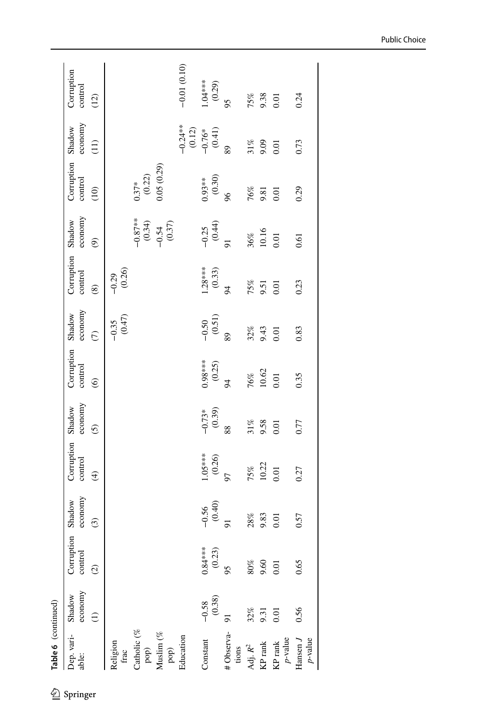| Dep. vari-<br>able:       | economy<br>Shadow | Corruption<br>control | economy<br>Shadow | Corruption<br>control | economy<br>Shadow   | Corruption<br>control  | economy<br>Shadow   | Corruption<br>control | economy<br>Shadow                             | Corruption<br>control | economy<br>Shadow   | Corruption<br>control |
|---------------------------|-------------------|-----------------------|-------------------|-----------------------|---------------------|------------------------|---------------------|-----------------------|-----------------------------------------------|-----------------------|---------------------|-----------------------|
|                           |                   | $\widehat{c}$         | $\odot$           | $\bigoplus$           | $\overline{6}$      | $\widehat{\mathbf{e}}$ | $\widehat{C}$       | $\circledast$         | $\widehat{\mathfrak{G}}$                      | (10)                  | (11)                | (12)                  |
| Religion<br>frac          |                   |                       |                   |                       |                     |                        | $(0.47)$<br>$-0.35$ | $-0.29$<br>(0.26)     |                                               |                       |                     |                       |
| Catholic (%               |                   |                       |                   |                       |                     |                        |                     |                       |                                               | (0.22)<br>$0.37*$     |                     |                       |
| Muslim (%<br>pop)<br>pop) |                   |                       |                   |                       |                     |                        |                     |                       | $-0.87***$<br>$(0.34)$<br>$-0.54$<br>$(0.37)$ | 0.05(0.29)            |                     |                       |
| Education                 |                   |                       |                   |                       |                     |                        |                     |                       |                                               |                       | $-0.24**$<br>(0.12) | $-0.01(0.10)$         |
| Constant                  | (0.38)<br>$-0.58$ | $0.84***$<br>(0.23)   | $-0.56$<br>(0.40) | $1.05***$<br>(0.26)   | $-0.73*$<br>(0.39)  | $0.98***$<br>(0.25)    | $-0.50$<br>(0.51)   | $1.28***$<br>(0.33)   | $-0.25$<br>(0.44)                             | $0.93***$<br>(0.30)   | $-0.76*$<br>(0.41)  | $1.04***$<br>(0.29)   |
| #Observa-<br>tions        |                   | 95                    |                   | 57                    | 88                  | 94                     | 89                  | 94                    | $\overline{5}$                                | 96                    | 89                  | 95                    |
| Adj. $R^2$                | 32%               | 80%                   | $28\%$            | 75%                   |                     |                        |                     | 75%                   | $36\%$                                        |                       |                     |                       |
| KP rank                   | 9.31              | 9.60                  | 9.83              | 10.22                 | $\frac{31\%}{9.58}$ | $\frac{76\%}{10.62}$   | $32\%$<br>9.43      | 9.51                  | 10.16                                         | $\frac{18}{29}$       | $31%$<br>9.09       | $75%$<br>9.38<br>0.01 |
| $p$ -value<br>KP rank     | 0.01              | 0.01                  | 0.01              | 0.01                  |                     | 0.01                   | 0.01                | 0.01                  | 0.01                                          | 0.01                  | 0.01                |                       |
| Hansen J<br>$p$ -value    | 0.56              | 0.65                  | 0.57              | 0.27                  | 0.77                | 0.35                   | 0.83                | 0.23                  | 0.61                                          | 0.29                  | 0.73                | 0.24                  |

Public Choice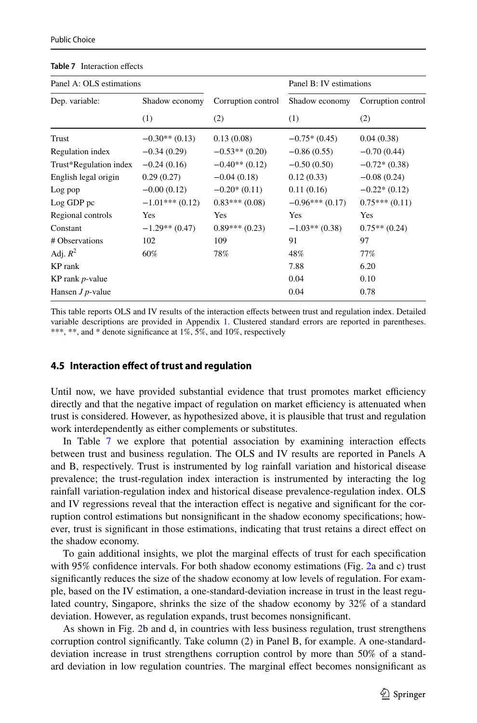| Panel A: OLS estimations |                  |                    | Panel B: IV estimations |                    |
|--------------------------|------------------|--------------------|-------------------------|--------------------|
| Dep. variable:           | Shadow economy   | Corruption control | Shadow economy          | Corruption control |
|                          | (1)              | (2)                | (1)                     | (2)                |
| Trust                    | $-0.30**$ (0.13) | 0.13(0.08)         | $-0.75*(0.45)$          | 0.04(0.38)         |
| Regulation index         | $-0.34(0.29)$    | $-0.53**$ (0.20)   | $-0.86(0.55)$           | $-0.70(0.44)$      |
| Trust*Regulation index   | $-0.24(0.16)$    | $-0.40**$ (0.12)   | $-0.50(0.50)$           | $-0.72*(0.38)$     |
| English legal origin     | 0.29(0.27)       | $-0.04(0.18)$      | 0.12(0.33)              | $-0.08(0.24)$      |
| Log pop                  | $-0.00(0.12)$    | $-0.20*(0.11)$     | 0.11(0.16)              | $-0.22*(0.12)$     |
| Log GDP pc               | $-1.01***(0.12)$ | $0.83***(0.08)$    | $-0.96***(0.17)$        | $0.75***(0.11)$    |
| Regional controls        | Yes              | Yes                | Yes                     | Yes                |
| Constant                 | $-1.29**$ (0.47) | $0.89***(0.23)$    | $-1.03**$ (0.38)        | $0.75**$ (0.24)    |
| # Observations           | 102              | 109                | 91                      | 97                 |
| Adj. $R^2$               | 60%              | 78%                | 48%                     | 77%                |
| KP rank                  |                  |                    | 7.88                    | 6.20               |
| KP rank $p$ -value       |                  |                    | 0.04                    | 0.10               |
| Hansen $J$ $p$ -value    |                  |                    | 0.04                    | 0.78               |

#### <span id="page-18-0"></span>**Table 7** Interaction effects

This table reports OLS and IV results of the interaction efects between trust and regulation index. Detailed variable descriptions are provided in Appendix [1.](#page-20-0) Clustered standard errors are reported in parentheses. \*\*\*, \*\*, and \* denote signifcance at 1%, 5%, and 10%, respectively

#### **4.5 Interaction efect of trust and regulation**

Until now, we have provided substantial evidence that trust promotes market efficiency directly and that the negative impact of regulation on market efficiency is attenuated when trust is considered. However, as hypothesized above, it is plausible that trust and regulation work interdependently as either complements or substitutes.

In Table [7](#page-18-0) we explore that potential association by examining interaction effects between trust and business regulation. The OLS and IV results are reported in Panels A and B, respectively. Trust is instrumented by log rainfall variation and historical disease prevalence; the trust-regulation index interaction is instrumented by interacting the log rainfall variation-regulation index and historical disease prevalence-regulation index. OLS and IV regressions reveal that the interaction efect is negative and signifcant for the corruption control estimations but nonsignifcant in the shadow economy specifcations; however, trust is signifcant in those estimations, indicating that trust retains a direct efect on the shadow economy.

To gain additional insights, we plot the marginal efects of trust for each specifcation with 95% confdence intervals. For both shadow economy estimations (Fig. [2](#page-19-0)a and c) trust signifcantly reduces the size of the shadow economy at low levels of regulation. For example, based on the IV estimation, a one-standard-deviation increase in trust in the least regulated country, Singapore, shrinks the size of the shadow economy by 32% of a standard deviation. However, as regulation expands, trust becomes nonsignifcant.

As shown in Fig. [2b](#page-19-0) and d, in countries with less business regulation, trust strengthens corruption control signifcantly. Take column (2) in Panel B, for example. A one-standarddeviation increase in trust strengthens corruption control by more than 50% of a standard deviation in low regulation countries. The marginal efect becomes nonsignifcant as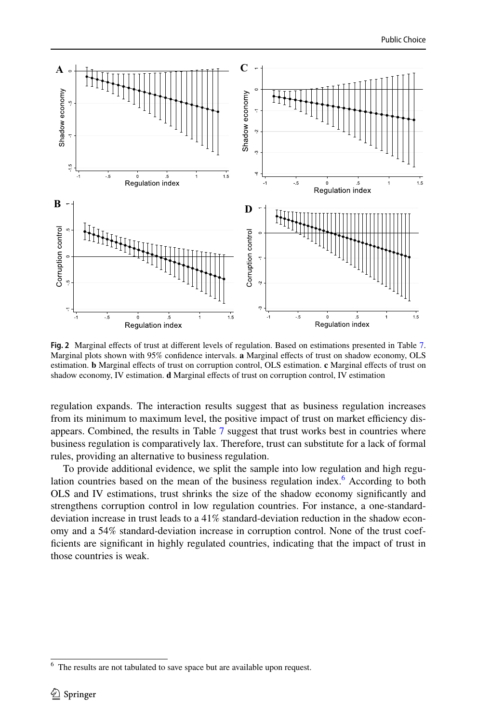

<span id="page-19-0"></span>**Fig. 2** Marginal efects of trust at diferent levels of regulation. Based on estimations presented in Table [7.](#page-18-0) Marginal plots shown with 95% confdence intervals. **a** Marginal efects of trust on shadow economy, OLS estimation. **b** Marginal efects of trust on corruption control, OLS estimation. **c** Marginal efects of trust on shadow economy, IV estimation. **d** Marginal efects of trust on corruption control, IV estimation

regulation expands. The interaction results suggest that as business regulation increases from its minimum to maximum level, the positive impact of trust on market efficiency disappears. Combined, the results in Table [7](#page-18-0) suggest that trust works best in countries where business regulation is comparatively lax. Therefore, trust can substitute for a lack of formal rules, providing an alternative to business regulation.

To provide additional evidence, we split the sample into low regulation and high regu-lation countries based on the mean of the business regulation index.<sup>[6](#page-19-1)</sup> According to both OLS and IV estimations, trust shrinks the size of the shadow economy signifcantly and strengthens corruption control in low regulation countries. For instance, a one-standarddeviation increase in trust leads to a 41% standard-deviation reduction in the shadow economy and a 54% standard-deviation increase in corruption control. None of the trust coeffcients are signifcant in highly regulated countries, indicating that the impact of trust in those countries is weak.

<span id="page-19-1"></span>The results are not tabulated to save space but are available upon request.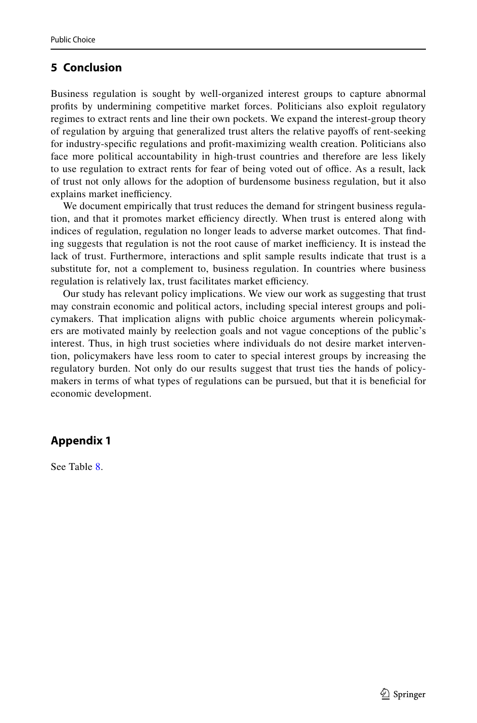## **5 Conclusion**

Business regulation is sought by well-organized interest groups to capture abnormal profts by undermining competitive market forces. Politicians also exploit regulatory regimes to extract rents and line their own pockets. We expand the interest-group theory of regulation by arguing that generalized trust alters the relative payofs of rent-seeking for industry-specifc regulations and proft-maximizing wealth creation. Politicians also face more political accountability in high-trust countries and therefore are less likely to use regulation to extract rents for fear of being voted out of office. As a result, lack of trust not only allows for the adoption of burdensome business regulation, but it also explains market inefficiency.

We document empirically that trust reduces the demand for stringent business regulation, and that it promotes market efficiency directly. When trust is entered along with indices of regulation, regulation no longer leads to adverse market outcomes. That fnding suggests that regulation is not the root cause of market inefficiency. It is instead the lack of trust. Furthermore, interactions and split sample results indicate that trust is a substitute for, not a complement to, business regulation. In countries where business regulation is relatively lax, trust facilitates market efficiency.

Our study has relevant policy implications. We view our work as suggesting that trust may constrain economic and political actors, including special interest groups and policymakers. That implication aligns with public choice arguments wherein policymakers are motivated mainly by reelection goals and not vague conceptions of the public's interest. Thus, in high trust societies where individuals do not desire market intervention, policymakers have less room to cater to special interest groups by increasing the regulatory burden. Not only do our results suggest that trust ties the hands of policymakers in terms of what types of regulations can be pursued, but that it is benefcial for economic development.

## <span id="page-20-0"></span>**Appendix 1**

See Table [8.](#page-21-0)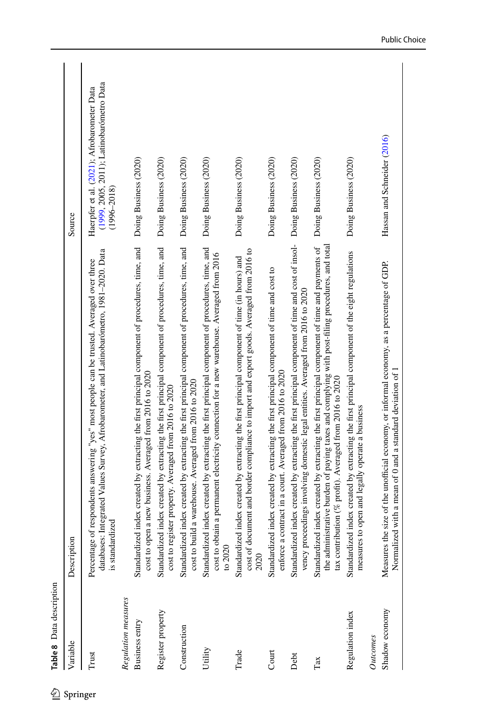<span id="page-21-0"></span>

| Variable            | Description                                                                                                                                                                                                                                                 | Source                                                                                                    |
|---------------------|-------------------------------------------------------------------------------------------------------------------------------------------------------------------------------------------------------------------------------------------------------------|-----------------------------------------------------------------------------------------------------------|
| Trust               | databases: Integrated Values Survey, Afrobarometer, and Latinobarómetro, 1981-2020. Data<br>Percentage of respondents answering "yes" most people can be trusted. Averaged over three<br>is standardized                                                    | (1999, 2005, 2011); Latinobarómetro Data<br>Haerpfer et al. (2021); Afrobarometer Data<br>$(1996 - 2018)$ |
| Regulation measures |                                                                                                                                                                                                                                                             |                                                                                                           |
| Business entry      | Standardized index created by extracting the first principal component of procedures, time, and<br>cost to open a new business. Averaged from 2016 to 2020                                                                                                  | Doing Business (2020)                                                                                     |
| Register property   | Standardized index created by extracting the first principal component of procedures, time, and<br>cost to register property. Averaged from 2016 to 2020                                                                                                    | Doing Business (2020)                                                                                     |
| Construction        | Standardized index created by extracting the first principal component of procedures, time, and<br>cost to build a warehouse. Averaged from 2016 to 2020                                                                                                    | Doing Business (2020)                                                                                     |
| Utility             | Standardized index created by extracting the first principal component of procedures, time, and<br>cost to obtain a permanent electricity connection for a new warehouse. Averaged from 2016<br>to $2020$                                                   | Doing Business (2020)                                                                                     |
| Trade               | cost of document and border compliance to import and export goods. Averaged from 2016 to<br>Standardized index created by extracting the first principal component of time (in hours) and<br>2020                                                           | Doing Business (2020)                                                                                     |
| Court               | Standardized index created by extracting the first principal component of time and cost to<br>a contract in a court. Averaged from 2016 to 2020<br>enforce                                                                                                  | Doing Business (2020)                                                                                     |
| Debt                | Standardized index created by extracting the first principal component of time and cost of insol-<br>proceedings involving domestic legal entities. Averaged from 2016 to 2020<br>vency <sub>1</sub>                                                        | Doing Business (2020)                                                                                     |
| Tax                 | Standardized index created by extracting the first principal component of time and payments of<br>the administrative burden of paying taxes and complying with post-filing procedures, and total<br>tax contribution (% profit). Averaged from 2016 to 2020 | Doing Business (2020)                                                                                     |
| Regulation index    | Standardized index created by extracting the first principal component of the eight regulations<br>measures to open and legally operate a business                                                                                                          | Doing Business (2020)                                                                                     |
| Outcones            |                                                                                                                                                                                                                                                             |                                                                                                           |
| Shadow economy      | Measures the size of the unofficial economy, or informal economy, as a percentage of GDP.<br>Normalized with a mean of 0 and a standard deviation of 1                                                                                                      | Hassan and Schneider (2016)                                                                               |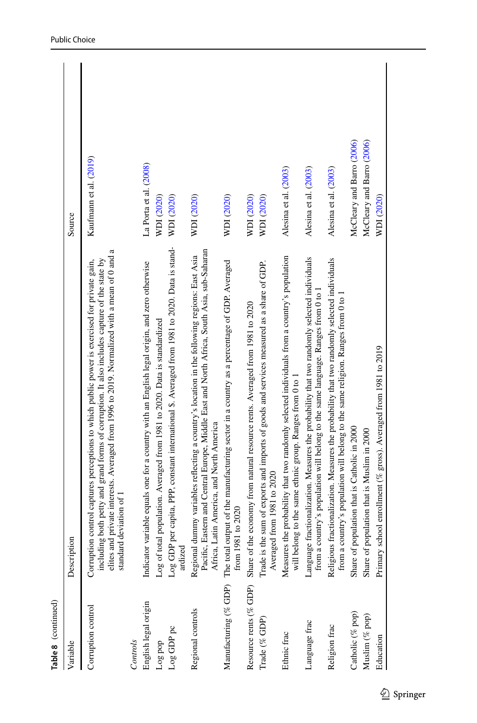| Table 8 (continued)    |                                                                                                                                                                                                                                                                                                                           |                           |
|------------------------|---------------------------------------------------------------------------------------------------------------------------------------------------------------------------------------------------------------------------------------------------------------------------------------------------------------------------|---------------------------|
| Variable               | Description                                                                                                                                                                                                                                                                                                               | Source                    |
| Corruption control     | elites and private interests. Averaged from 1996 to 2019. Normalized with a mean of 0 and a<br>including both petty and grand forms of corruption. It also includes capture of the state by<br>Corruption control captures perceptions to which public power is exercised for private gain,<br>deviation of 1<br>standard | Kaufmann et al. (2019)    |
| Controls               |                                                                                                                                                                                                                                                                                                                           |                           |
| English legal origin   | variable equals one for a country with an English legal origin, and zero otherwise<br>Indicator                                                                                                                                                                                                                           | La Porta et al. (2008)    |
| Log pop                | Log of total population. Averaged from 1981 to 2020. Data is standardized                                                                                                                                                                                                                                                 | WDI (2020)                |
| Log GDP pc             | Log GDP per capita, PPP, constant international \$. Averaged from 1981 to 2020. Data is stand-<br>ardized                                                                                                                                                                                                                 | WDI (2020)                |
| Regional controls      | Pacific, Eastern and Central Europe, Middle East and North Africa, South Asia, sub-Saharan<br>Regional dummy variables reflecting a country's location in the following regions: East Asia<br>Africa, Latin America, and North America                                                                                    | WDI (2020)                |
| Manufacturing (% GDP)  | The total output of the manufacturing sector in a country as a percentage of GDP. Averaged<br>from 1981 to 2020                                                                                                                                                                                                           | WDI (2020)                |
| Resource rents (% GDP) | Share of the economy from natural resource rents. Averaged from 1981 to 2020                                                                                                                                                                                                                                              | WDI (2020)                |
| Trade (% GDP)          | Trade is the sum of exports and imports of goods and services measured as a share of GDP.<br>Averaged from 1981 to 2020                                                                                                                                                                                                   | WDI (2020)                |
| Ethnic frac            | Measures the probability that two randomly selected individuals from a country's population<br>will belong to the same ethnic group. Ranges from 0 to 1                                                                                                                                                                   | Alesina et al. (2003)     |
| Language frac          | fractionalization. Measures the probability that two randomly selected individuals<br>from a country's population will belong to the same language. Ranges from 0 to 1<br>Language                                                                                                                                        | Alesina et al. (2003)     |
| Religion frac          | fractionalization. Measures the probability that two randomly selected individuals<br>from a country's population will belong to the same religion. Ranges from 0 to 1<br>Religious                                                                                                                                       | Alesina et al. (2003)     |
| Catholic (% pop)       | Share of population that is Catholic in 2000                                                                                                                                                                                                                                                                              | McCleary and Barro (2006) |
| Muslim (% pop)         | Share of population that is Muslim in 2000                                                                                                                                                                                                                                                                                | McCleary and Barro (2006) |
| Education              | Primary school enrollment (% gross). Averaged from 1981 to 2019                                                                                                                                                                                                                                                           | WDI (2020)                |
|                        |                                                                                                                                                                                                                                                                                                                           |                           |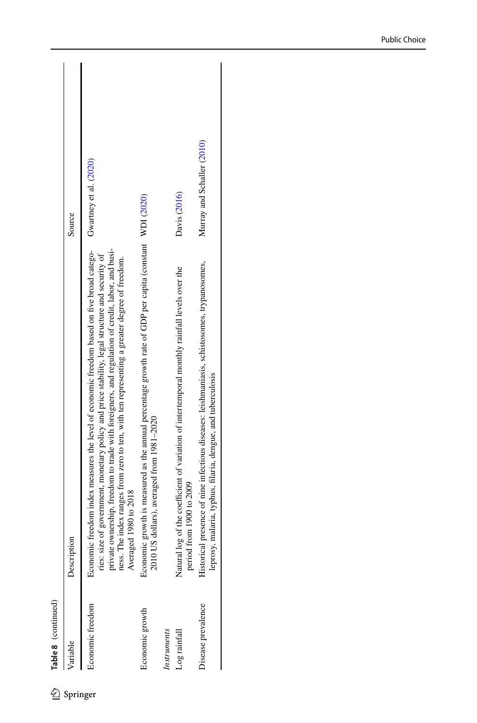| /ariable           | Description                                                                                                                                                                                                                                                                                                                                                                                                                 | Source                     |
|--------------------|-----------------------------------------------------------------------------------------------------------------------------------------------------------------------------------------------------------------------------------------------------------------------------------------------------------------------------------------------------------------------------------------------------------------------------|----------------------------|
| Economic freedom   | private ownership, freedom to trade with foreigners, and regulation of credit, labor, and busi-<br>Economic freedom index measures the level of economic freedom based on five broad catego-<br>ries: size of government, monetary policy and price stability, legal structure and security of<br>The index ranges from zero to ten, with ten representing a greater degree of freedom.<br>Averaged 1980 to 2018<br>ness. T | Gwartney et al. (2020)     |
| Economic growth    | Economic growth is measured as the annual percentage growth rate of GDP per capita (constant WDI (2020)<br>JS dollars), averaged from 1981-2020<br>2010                                                                                                                                                                                                                                                                     |                            |
| Instruments        |                                                                                                                                                                                                                                                                                                                                                                                                                             |                            |
| Log rainfall       | log of the coefficient of variation of intertemporal monthly rainfall levels over the<br>from 1900 to 2009<br>period<br>Natural                                                                                                                                                                                                                                                                                             | Davis (2016)               |
| Disease prevalence | Historical presence of nine infectious diseases: leishmaniasis, schistosomes, trypanosomes,<br>leprosy, malaria, typhus, filaria, dengue, and tuberculosis                                                                                                                                                                                                                                                                  | Murray and Schaller (2010) |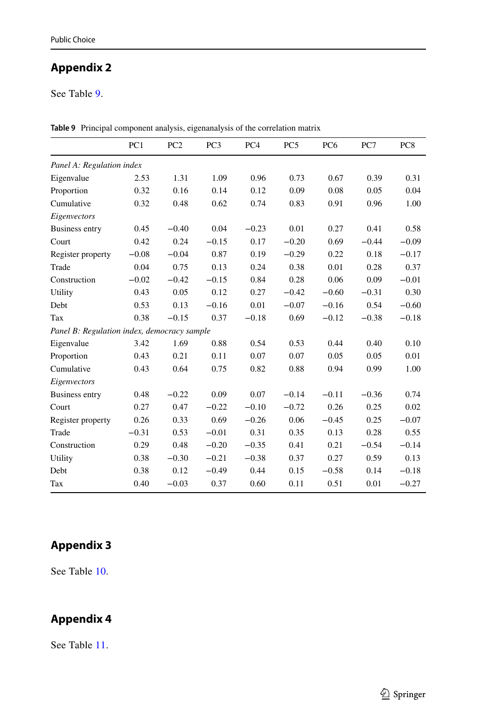# <span id="page-24-0"></span>**Appendix 2**

See Table [9.](#page-24-3)

|                                             | PC <sub>1</sub> | PC <sub>2</sub> | PC <sub>3</sub> | PC <sub>4</sub> | PC <sub>5</sub> | PC <sub>6</sub> | PC7     | PC <sub>8</sub> |
|---------------------------------------------|-----------------|-----------------|-----------------|-----------------|-----------------|-----------------|---------|-----------------|
| Panel A: Regulation index                   |                 |                 |                 |                 |                 |                 |         |                 |
| Eigenvalue                                  | 2.53            | 1.31            | 1.09            | 0.96            | 0.73            | 0.67            | 0.39    | 0.31            |
| Proportion                                  | 0.32            | 0.16            | 0.14            | 0.12            | 0.09            | 0.08            | 0.05    | 0.04            |
| Cumulative                                  | 0.32            | 0.48            | 0.62            | 0.74            | 0.83            | 0.91            | 0.96    | 1.00            |
| Eigenvectors                                |                 |                 |                 |                 |                 |                 |         |                 |
| <b>Business entry</b>                       | 0.45            | $-0.40$         | 0.04            | $-0.23$         | 0.01            | 0.27            | 0.41    | 0.58            |
| Court                                       | 0.42            | 0.24            | $-0.15$         | 0.17            | $-0.20$         | 0.69            | $-0.44$ | $-0.09$         |
| Register property                           | $-0.08$         | $-0.04$         | 0.87            | 0.19            | $-0.29$         | 0.22            | 0.18    | $-0.17$         |
| Trade                                       | 0.04            | 0.75            | 0.13            | 0.24            | 0.38            | 0.01            | 0.28    | 0.37            |
| Construction                                | $-0.02$         | $-0.42$         | $-0.15$         | 0.84            | 0.28            | 0.06            | 0.09    | $-0.01$         |
| Utility                                     | 0.43            | 0.05            | 0.12            | 0.27            | $-0.42$         | $-0.60$         | $-0.31$ | 0.30            |
| Debt                                        | 0.53            | 0.13            | $-0.16$         | 0.01            | $-0.07$         | $-0.16$         | 0.54    | $-0.60$         |
| Tax                                         | 0.38            | $-0.15$         | 0.37            | $-0.18$         | 0.69            | $-0.12$         | $-0.38$ | $-0.18$         |
| Panel B: Regulation index, democracy sample |                 |                 |                 |                 |                 |                 |         |                 |
| Eigenvalue                                  | 3.42            | 1.69            | 0.88            | 0.54            | 0.53            | 0.44            | 0.40    | 0.10            |
| Proportion                                  | 0.43            | 0.21            | 0.11            | 0.07            | 0.07            | 0.05            | 0.05    | 0.01            |
| Cumulative                                  | 0.43            | 0.64            | 0.75            | 0.82            | 0.88            | 0.94            | 0.99    | 1.00            |
| Eigenvectors                                |                 |                 |                 |                 |                 |                 |         |                 |
| <b>Business entry</b>                       | 0.48            | $-0.22$         | 0.09            | 0.07            | $-0.14$         | $-0.11$         | $-0.36$ | 0.74            |
| Court                                       | 0.27            | 0.47            | $-0.22$         | $-0.10$         | $-0.72$         | 0.26            | 0.25    | 0.02            |
| Register property                           | 0.26            | 0.33            | 0.69            | $-0.26$         | 0.06            | $-0.45$         | 0.25    | $-0.07$         |
| Trade                                       | $-0.31$         | 0.53            | $-0.01$         | 0.31            | 0.35            | 0.13            | 0.28    | 0.55            |
| Construction                                | 0.29            | 0.48            | $-0.20$         | $-0.35$         | 0.41            | 0.21            | $-0.54$ | $-0.14$         |
| Utility                                     | 0.38            | $-0.30$         | $-0.21$         | $-0.38$         | 0.37            | 0.27            | 0.59    | 0.13            |
| Debt                                        | 0.38            | 0.12            | $-0.49$         | 0.44            | 0.15            | $-0.58$         | 0.14    | $-0.18$         |
| Tax                                         | 0.40            | $-0.03$         | 0.37            | 0.60            | 0.11            | 0.51            | 0.01    | $-0.27$         |

<span id="page-24-3"></span>**Table 9** Principal component analysis, eigenanalysis of the correlation matrix

## <span id="page-24-1"></span>**Appendix 3**

See Table [10.](#page-25-0)

# <span id="page-24-2"></span>**Appendix 4**

See Table [11.](#page-26-0)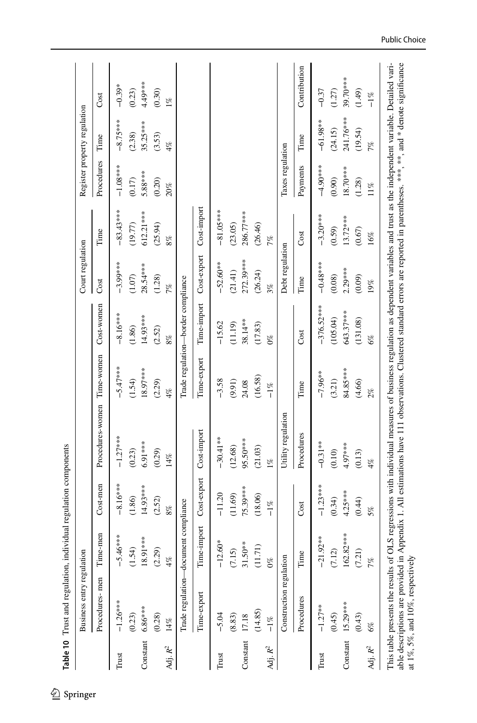<span id="page-25-0"></span>

|                     | Business entry regulation            |                                 |             |                    |             |                                    | Court regulation |             | Register property regulation |            |              |
|---------------------|--------------------------------------|---------------------------------|-------------|--------------------|-------------|------------------------------------|------------------|-------------|------------------------------|------------|--------------|
|                     | Procedures-men                       | Time-men                        | Cost-men    | Procedures-women   | Time-women  | Cost-women                         | Cost             | Time        | Procedures                   | Time       | Cost         |
| Trust               | $-1.26***$                           | $-5.46***$                      | $-8.16***$  | $-1.27***$         | $-5.47***$  | $-8.16***$                         | $-3.99***$       | $-83.43***$ | $-1.08***$                   | $-8.75***$ | $-0.39*$     |
|                     | (0.23)                               | (1.54)                          | (1.86)      | (0.23)             | (1.54)      | (1.86)                             | (1.07)           | (19.77)     | (0.17)                       | (2.38)     | (0.23)       |
| Constant            | $6.86***$                            | 18.91***                        | 14.93***    | 6.91 ***           | 18.97***    | 14.93***                           | 28.54***         | 612.21***   | 5.88***                      | $35.25***$ | $4.49***$    |
|                     | (0.28)                               | (2.29)                          | (2.52)      | (0.29)             | (2.29)      | (2.52)                             | (1.28)           | (25.94)     | (0.20)                       | (3.53)     | (0.30)       |
| Adj. $R^2$          | $14\%$                               | 4%                              | $8\%$       | $14\%$             | 4%          | 8%                                 | 7%               | 8%          | 20%                          | 4%         | $1\%$        |
|                     | Trade regulation-document compliance |                                 |             |                    |             | Trade regulation-border compliance |                  |             |                              |            |              |
|                     | Time-export                          | Time-import                     | Cost-export | Cost-import        | Time-export | Time-import                        | Cost-export      | Cost-import |                              |            |              |
| Trust               | $-5.04$                              | $-12.60*$                       | $-11.20$    | $-30.41**$         | $-3.58$     | $-15.62$                           | $-52.60**$       | $-81.05***$ |                              |            |              |
|                     | (8.83)                               | (7.15)                          | (11.69)     | (12.68)            | (9.91)      | (11.19)                            | (21.41)          | (23.05)     |                              |            |              |
| Constant            | 17.18                                | $31.50**$                       | 75.39***    | 95.50***           | 24.08       | 38.14**                            | 272.39***        | 286.77***   |                              |            |              |
|                     | (14.85)                              | (11.71)                         | (18.06)     | (21.03)            | (16.58)     | (17.83)                            | (26.24)          | (26.46)     |                              |            |              |
| Adj. $\mathbb{R}^2$ | $-1\%$                               | $\mathcal{O}_{\infty}^{\infty}$ | $-1\%$      | $1\%$              | $-1\%$      | $0\%$                              | 3%               | 7%          |                              |            |              |
|                     | Construction regulation              |                                 |             | Utility regulation |             |                                    | Debt regulation  |             | Taxes regulation             |            |              |
|                     | Procedures                           | Time                            | Cost        | Procedures         | Time        | Cost                               | Time             | Cost        | Payments                     | Time       | Contribution |
| Trust               | $-1.27**$                            | $-21.92**$                      | $-1.23***$  | $-0.31**$          | $-7.96**$   | $-376.52***$                       | $-0.48***$       | $-3.20***$  | $-4.90***$                   | $-61.98**$ | $-0.37$      |
|                     | (0.45)                               | (7.12)                          | (0.34)      | (0.10)             | (3.21)      | (105.04)                           | (0.08)           | (0.59)      | (0.90)                       | (24.15)    | (1.27)       |
|                     | Constant 15.29***                    | 162.82****                      | $4.25***$   | 4.97***            | 84.85***    | 643.37***                          | $2.29***$        | $13.72***$  | 18.70***                     | 241.76***  | 39.70***     |
|                     | (0.43)                               | (7.21)                          | (0.44)      | (0.13)             | (4.66)      | (131.08)                           | (0.09)           | (0.67)      | (1.28)                       | (19.54)    | (1.49)       |
| Adj. $R^2$          | 6%                                   | 7%                              | 5%          | 4%                 | 2%          | 6%                                 | 19%              | 16%         | $11\%$                       | 7%         | $-1\%$       |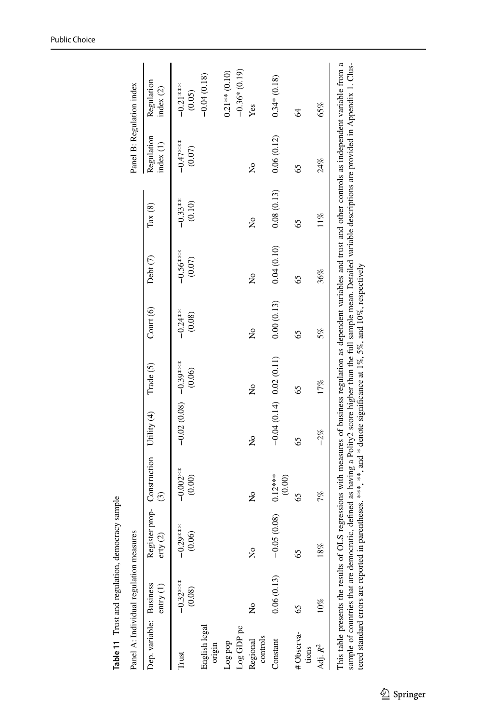<span id="page-26-0"></span>

|                                   | Panel A: Individual regulation measures |                                                                                                                                                                                                                                                                                                                                                                                                                                                                                       |                                                    |                          |                           |                     |                      |                     | Panel B: Regulation index |                                   |
|-----------------------------------|-----------------------------------------|---------------------------------------------------------------------------------------------------------------------------------------------------------------------------------------------------------------------------------------------------------------------------------------------------------------------------------------------------------------------------------------------------------------------------------------------------------------------------------------|----------------------------------------------------|--------------------------|---------------------------|---------------------|----------------------|---------------------|---------------------------|-----------------------------------|
| Dep. variable: Business           | entry(1)                                | $\text{erty}$ (2)                                                                                                                                                                                                                                                                                                                                                                                                                                                                     | Register prop- Construction Utility (4)<br>$\odot$ |                          | Trade (5)                 | Court (6)           | Debt (7)             | $\text{Tax}(8)$     | Regulation<br>index(1)    | Regulation<br>index $(2)$         |
| Trust                             | $-0.32***$<br>(0.08)                    | $0.29***$<br>(0.06)<br>T                                                                                                                                                                                                                                                                                                                                                                                                                                                              | $-0.002**$<br>(0.00)                               | $-0.02(0.08)$ $-0.39***$ | (0.06)                    | $-0.24**$<br>(0.08) | $-0.56***$<br>(0.07) | $-0.33**$<br>(0.10) | $-0.47**$<br>(0.07)       | $-0.21***$<br>(0.05)              |
| English legal<br>origin           |                                         |                                                                                                                                                                                                                                                                                                                                                                                                                                                                                       |                                                    |                          |                           |                     |                      |                     |                           | $-0.04(0.18)$                     |
| Log GDP pc<br>dod 8o <sub>1</sub> |                                         |                                                                                                                                                                                                                                                                                                                                                                                                                                                                                       |                                                    |                          |                           |                     |                      |                     |                           | $-0.36*(0.19)$<br>$0.21**$ (0.10) |
| controls<br>Regional              | ż                                       | ż                                                                                                                                                                                                                                                                                                                                                                                                                                                                                     | Σò                                                 | ž                        | ž                         | ż                   | $\tilde{\mathsf{z}}$ | ż                   | $\tilde{\mathsf{z}}$      | Yes                               |
| Constant                          | 0.06(0.13)                              | $-0.05(0.08)$                                                                                                                                                                                                                                                                                                                                                                                                                                                                         | $0.12***$<br>(0.00)                                |                          | $-0.04(0.14)$ 0.02 (0.11) | 0.00(0.13)          | 0.04(0.10)           | 0.08(0.13)          | 0.06(0.12)                | $0.34*(0.18)$                     |
| #Observa-<br>tions                | S                                       | 65                                                                                                                                                                                                                                                                                                                                                                                                                                                                                    | 65                                                 | 65                       | SS                        | 65                  | SS                   | 65                  | SS                        | $\overline{6}$                    |
| Adj. $R^2$                        | 10%                                     | 18%                                                                                                                                                                                                                                                                                                                                                                                                                                                                                   | 7%                                                 | $-2%$                    | 17%                       | 5%                  | 36%                  | $11\%$              | 24%                       | 65%                               |
|                                   |                                         | This table presents the results of OLS regressions with measures of business regulation as dependent variables and trust and other controls as independent variable from a<br>sample of countries that are democratic, defined as having a Polity2 score higher than the full sample mean. Detailed variable descriptions are provided in Appendix 1. Clus-<br>tered standard errors are reported in parentheses. ***, **, and * denote significance at 1%, 5%, and 10%, respectively |                                                    |                          |                           |                     |                      |                     |                           |                                   |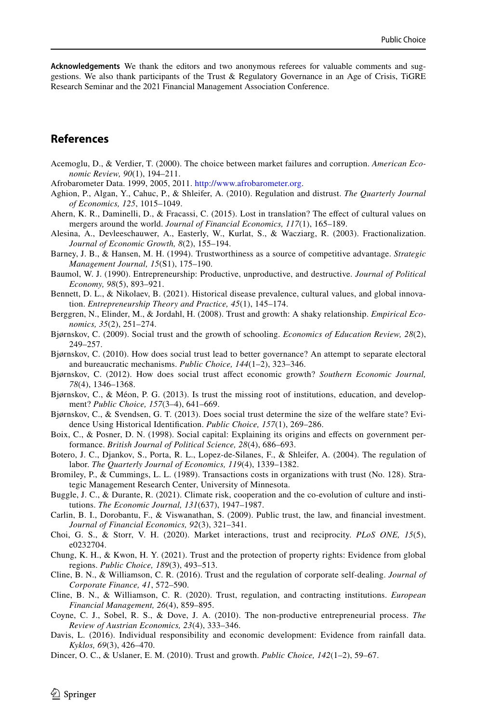**Acknowledgements** We thank the editors and two anonymous referees for valuable comments and suggestions. We also thank participants of the Trust & Regulatory Governance in an Age of Crisis, TiGRE Research Seminar and the 2021 Financial Management Association Conference.

## **References**

- <span id="page-27-10"></span>Acemoglu, D., & Verdier, T. (2000). The choice between market failures and corruption. *American Economic Review, 90*(1), 194–211.
- <span id="page-27-25"></span>Afrobarometer Data. 1999, 2005, 2011. [http://www.afrobarometer.org.](http://www.afrobarometer.org)
- <span id="page-27-8"></span>Aghion, P., Algan, Y., Cahuc, P., & Shleifer, A. (2010). Regulation and distrust. *The Quarterly Journal of Economics, 125*, 1015–1049.
- <span id="page-27-11"></span>Ahern, K. R., Daminelli, D., & Fracassi, C. (2015). Lost in translation? The efect of cultural values on mergers around the world. *Journal of Financial Economics, 117*(1), 165–189.
- <span id="page-27-20"></span>Alesina, A., Devleeschauwer, A., Easterly, W., Kurlat, S., & Wacziarg, R. (2003). Fractionalization. *Journal of Economic Growth, 8*(2), 155–194.
- <span id="page-27-3"></span>Barney, J. B., & Hansen, M. H. (1994). Trustworthiness as a source of competitive advantage. *Strategic Management Journal, 15*(S1), 175–190.
- <span id="page-27-1"></span>Baumol, W. J. (1990). Entrepreneurship: Productive, unproductive, and destructive. *Journal of Political Economy, 98*(5), 893–921.
- <span id="page-27-24"></span>Bennett, D. L., & Nikolaev, B. (2021). Historical disease prevalence, cultural values, and global innovation. *Entrepreneurship Theory and Practice, 45*(1), 145–174.
- <span id="page-27-18"></span>Berggren, N., Elinder, M., & Jordahl, H. (2008). Trust and growth: A shaky relationship. *Empirical Economics, 35*(2), 251–274.
- <span id="page-27-9"></span>Bjørnskov, C. (2009). Social trust and the growth of schooling. *Economics of Education Review, 28*(2), 249–257.
- <span id="page-27-5"></span>Bjørnskov, C. (2010). How does social trust lead to better governance? An attempt to separate electoral and bureaucratic mechanisms. *Public Choice, 144*(1–2), 323–346.
- <span id="page-27-12"></span>Bjørnskov, C. (2012). How does social trust afect economic growth? *Southern Economic Journal, 78*(4), 1346–1368.
- <span id="page-27-13"></span>Bjørnskov, C., & Méon, P. G. (2013). Is trust the missing root of institutions, education, and development? *Public Choice, 157*(3–4), 641–669.
- <span id="page-27-15"></span>Bjørnskov, C., & Svendsen, G. T. (2013). Does social trust determine the size of the welfare state? Evidence Using Historical Identifcation. *Public Choice, 157*(1), 269–286.
- <span id="page-27-14"></span>Boix, C., & Posner, D. N. (1998). Social capital: Explaining its origins and efects on government performance. *British Journal of Political Science, 28*(4), 686–693.
- <span id="page-27-0"></span>Botero, J. C., Djankov, S., Porta, R. L., Lopez-de-Silanes, F., & Shleifer, A. (2004). The regulation of labor. *The Quarterly Journal of Economics, 119*(4), 1339–1382.
- <span id="page-27-4"></span>Bromiley, P., & Cummings, L. L. (1989). Transactions costs in organizations with trust (No. 128). Strategic Management Research Center, University of Minnesota.
- <span id="page-27-23"></span>Buggle, J. C., & Durante, R. (2021). Climate risk, cooperation and the co-evolution of culture and institutions. *The Economic Journal, 131*(637), 1947–1987.
- <span id="page-27-17"></span>Carlin, B. I., Dorobantu, F., & Viswanathan, S. (2009). Public trust, the law, and fnancial investment. *Journal of Financial Economics, 92*(3), 321–341.
- <span id="page-27-21"></span>Choi, G. S., & Storr, V. H. (2020). Market interactions, trust and reciprocity. *PLoS ONE, 15*(5), e0232704.
- <span id="page-27-16"></span>Chung, K. H., & Kwon, H. Y. (2021). Trust and the protection of property rights: Evidence from global regions. *Public Choice, 189*(3), 493–513.
- <span id="page-27-19"></span>Cline, B. N., & Williamson, C. R. (2016). Trust and the regulation of corporate self-dealing. *Journal of Corporate Finance, 41*, 572–590.
- <span id="page-27-6"></span>Cline, B. N., & Williamson, C. R. (2020). Trust, regulation, and contracting institutions. *European Financial Management, 26*(4), 859–895.
- <span id="page-27-2"></span>Coyne, C. J., Sobel, R. S., & Dove, J. A. (2010). The non-productive entrepreneurial process. *The Review of Austrian Economics, 23*(4), 333–346.
- <span id="page-27-22"></span>Davis, L. (2016). Individual responsibility and economic development: Evidence from rainfall data. *Kyklos, 69*(3), 426–470.
- <span id="page-27-7"></span>Dincer, O. C., & Uslaner, E. M. (2010). Trust and growth. *Public Choice, 142*(1–2), 59–67.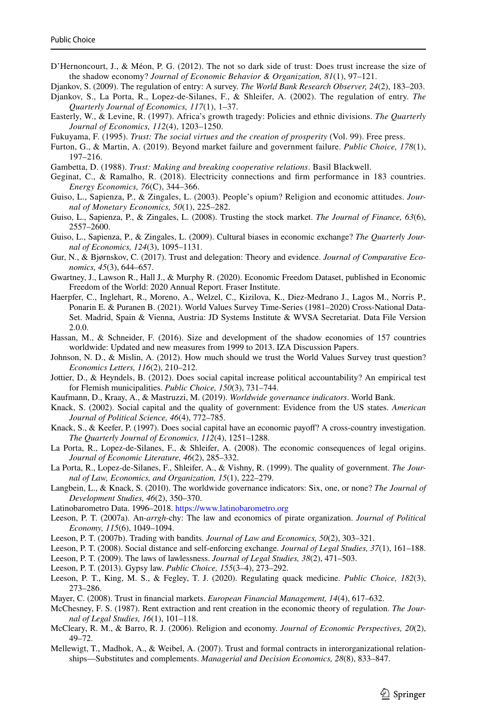<span id="page-28-6"></span>D'Hernoncourt, J., & Méon, P. G. (2012). The not so dark side of trust: Does trust increase the size of the shadow economy? *Journal of Economic Behavior & Organization, 81*(1), 97–121.

<span id="page-28-2"></span>Djankov, S. (2009). The regulation of entry: A survey. *The World Bank Research Observer, 24*(2), 183–203.

- <span id="page-28-9"></span>Djankov, S., La Porta, R., Lopez-de-Silanes, F., & Shleifer, A. (2002). The regulation of entry. *The Quarterly Journal of Economics, 117*(1), 1–37.
- <span id="page-28-26"></span>Easterly, W., & Levine, R. (1997). Africa's growth tragedy: Policies and ethnic divisions. *The Quarterly Journal of Economics, 112*(4), 1203–1250.
- <span id="page-28-1"></span>Fukuyama, F. (1995). *Trust: The social virtues and the creation of prosperity* (Vol. 99). Free press.
- <span id="page-28-4"></span>Furton, G., & Martin, A. (2019). Beyond market failure and government failure. *Public Choice, 178*(1), 197–216.
- <span id="page-28-0"></span>Gambetta, D. (1988). *Trust: Making and breaking cooperative relations*. Basil Blackwell.
- <span id="page-28-3"></span>Geginat, C., & Ramalho, R. (2018). Electricity connections and frm performance in 183 countries. *Energy Economics, 76*(C), 344–366.
- <span id="page-28-28"></span>Guiso, L., Sapienza, P., & Zingales, L. (2003). People's opium? Religion and economic attitudes. *Journal of Monetary Economics, 50*(1), 225–282.
- <span id="page-28-11"></span>Guiso, L., Sapienza, P., & Zingales, L. (2008). Trusting the stock market. *The Journal of Finance, 63*(6), 2557–2600.
- <span id="page-28-12"></span>Guiso, L., Sapienza, P., & Zingales, L. (2009). Cultural biases in economic exchange? *The Quarterly Journal of Economics, 124*(3), 1095–1131.
- <span id="page-28-5"></span>Gur, N., & Bjørnskov, C. (2017). Trust and delegation: Theory and evidence. *Journal of Comparative Economics, 45*(3), 644–657.
- <span id="page-28-31"></span>Gwartney, J., Lawson R., Hall J., & Murphy R. (2020). Economic Freedom Dataset, published in Economic Freedom of the World: 2020 Annual Report. Fraser Institute.
- <span id="page-28-32"></span>Haerpfer, C., Inglehart, R., Moreno, A., Welzel, C., Kizilova, K., Diez-Medrano J., Lagos M., Norris P., Ponarin E. & Puranen B. (2021). World Values Survey Time-Series (1981–2020) Cross-National Data-Set. Madrid, Spain & Vienna, Austria: JD Systems Institute & WVSA Secretariat. Data File Version 2.0.0.
- <span id="page-28-7"></span>Hassan, M., & Schneider, F. (2016). Size and development of the shadow economies of 157 countries worldwide: Updated and new measures from 1999 to 2013. IZA Discussion Papers.
- <span id="page-28-24"></span>Johnson, N. D., & Mislin, A. (2012). How much should we trust the World Values Survey trust question? *Economics Letters, 116*(2), 210–212.
- <span id="page-28-15"></span>Jottier, D., & Heyndels, B. (2012). Does social capital increase political accountability? An empirical test for Flemish municipalities. *Public Choice, 150*(3), 731–744.
- <span id="page-28-8"></span>Kaufmann, D., Kraay, A., & Mastruzzi, M. (2019). *Worldwide governance indicators*. World Bank.
- <span id="page-28-14"></span>Knack, S. (2002). Social capital and the quality of government: Evidence from the US states. *American Journal of Political Science, 46*(4), 772–785.
- <span id="page-28-17"></span>Knack, S., & Keefer, P. (1997). Does social capital have an economic payof? A cross-country investigation. *The Quarterly Journal of Economics, 112*(4), 1251–1288.
- <span id="page-28-25"></span>La Porta, R., Lopez-de-Silanes, F., & Shleifer, A. (2008). The economic consequences of legal origins. *Journal of Economic Literature, 46*(2), 285–332.
- <span id="page-28-29"></span>La Porta, R., Lopez-de-Silanes, F., Shleifer, A., & Vishny, R. (1999). The quality of government. *The Journal of Law, Economics, and Organization, 15*(1), 222–279.
- <span id="page-28-27"></span>Langbein, L., & Knack, S. (2010). The worldwide governance indicators: Six, one, or none? *The Journal of Development Studies, 46*(2), 350–370.
- Latinobarometro Data. 1996–2018. <https://www.latinobarometro.org>
- <span id="page-28-18"></span>Leeson, P. T. (2007a). An-*arrgh*-chy: The law and economics of pirate organization. *Journal of Political Economy, 115*(6), 1049–1094.
- <span id="page-28-19"></span>Leeson, P. T. (2007b). Trading with bandits. *Journal of Law and Economics, 50*(2), 303–321.
- <span id="page-28-20"></span>Leeson, P. T. (2008). Social distance and self-enforcing exchange. *Journal of Legal Studies, 37*(1), 161–188.
- <span id="page-28-21"></span>Leeson, P. T. (2009). The laws of lawlessness. *Journal of Legal Studies, 38*(2), 471–503.
- <span id="page-28-22"></span>Leeson, P. T. (2013). Gypsy law. *Public Choice, 155*(3–4), 273–292.
- <span id="page-28-10"></span>Leeson, P. T., King, M. S., & Fegley, T. J. (2020). Regulating quack medicine. *Public Choice, 182*(3), 273–286.
- <span id="page-28-23"></span>Mayer, C. (2008). Trust in fnancial markets. *European Financial Management, 14*(4), 617–632.
- <span id="page-28-13"></span>McChesney, F. S. (1987). Rent extraction and rent creation in the economic theory of regulation. *The Journal of Legal Studies, 16*(1), 101–118.
- <span id="page-28-30"></span>McCleary, R. M., & Barro, R. J. (2006). Religion and economy. *Journal of Economic Perspectives, 20*(2), 49–72.
- <span id="page-28-16"></span>Mellewigt, T., Madhok, A., & Weibel, A. (2007). Trust and formal contracts in interorganizational relationships—Substitutes and complements. *Managerial and Decision Economics, 28*(8), 833–847.